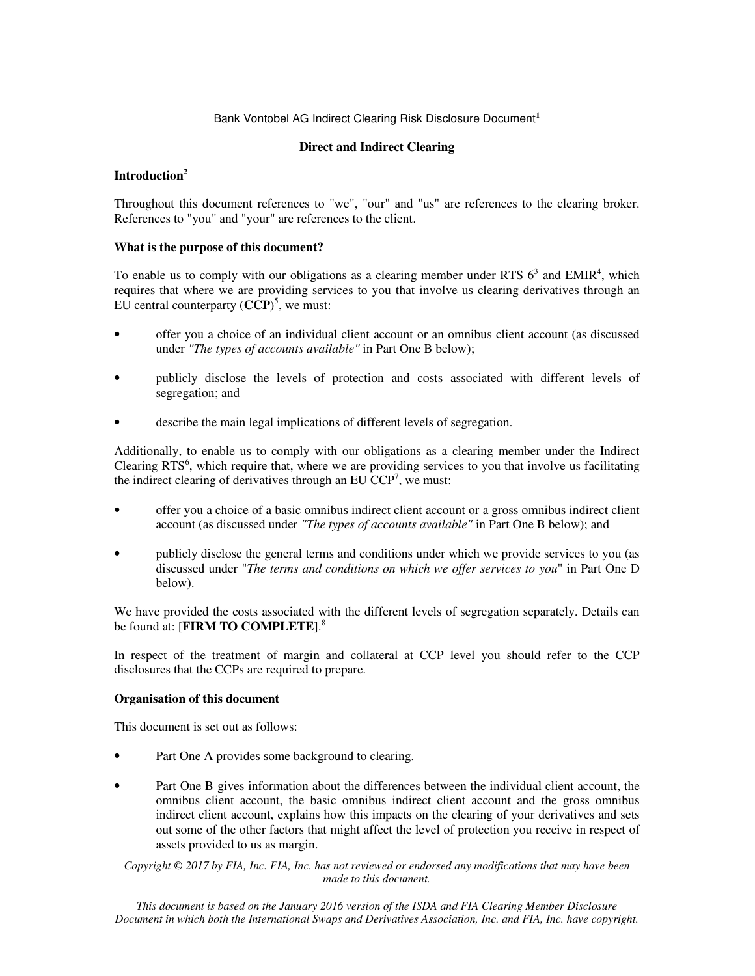## Bank Vontobel AG Indirect Clearing Risk Disclosure Document**<sup>1</sup>**

## **Direct and Indirect Clearing**

## **Introduction<sup>2</sup>**

Throughout this document references to "we", "our" and "us" are references to the clearing broker. References to "you" and "your" are references to the client.

## **What is the purpose of this document?**

To enable us to comply with our obligations as a clearing member under RTS  $6<sup>3</sup>$  and EMIR<sup>4</sup>, which requires that where we are providing services to you that involve us clearing derivatives through an EU central counterparty  $(CCP)^5$ , we must:

- offer you a choice of an individual client account or an omnibus client account (as discussed under *"The types of accounts available"* in Part One B below);
- publicly disclose the levels of protection and costs associated with different levels of segregation; and
- describe the main legal implications of different levels of segregation.

Additionally, to enable us to comply with our obligations as a clearing member under the Indirect Clearing  $RTS<sup>6</sup>$ , which require that, where we are providing services to you that involve us facilitating the indirect clearing of derivatives through an EU  $CCP<sup>7</sup>$ , we must:

- offer you a choice of a basic omnibus indirect client account or a gross omnibus indirect client account (as discussed under *"The types of accounts available"* in Part One B below); and
- publicly disclose the general terms and conditions under which we provide services to you (as discussed under "*The terms and conditions on which we offer services to you*" in Part One D below).

We have provided the costs associated with the different levels of segregation separately. Details can be found at: [**FIRM TO COMPLETE**].<sup>8</sup>

In respect of the treatment of margin and collateral at CCP level you should refer to the CCP disclosures that the CCPs are required to prepare.

## **Organisation of this document**

This document is set out as follows:

- Part One A provides some background to clearing.
- Part One B gives information about the differences between the individual client account, the omnibus client account, the basic omnibus indirect client account and the gross omnibus indirect client account, explains how this impacts on the clearing of your derivatives and sets out some of the other factors that might affect the level of protection you receive in respect of assets provided to us as margin.

*Copyright © 2017 by FIA, Inc. FIA, Inc. has not reviewed or endorsed any modifications that may have been made to this document.*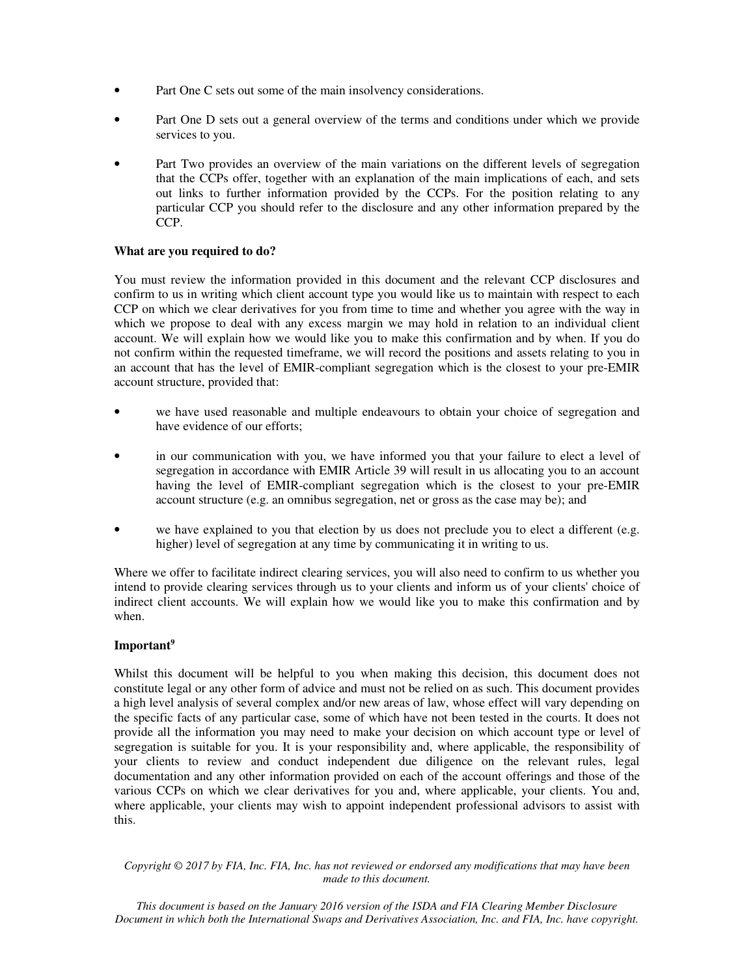- Part One C sets out some of the main insolvency considerations.
- Part One D sets out a general overview of the terms and conditions under which we provide services to you.
- Part Two provides an overview of the main variations on the different levels of segregation that the CCPs offer, together with an explanation of the main implications of each, and sets out links to further information provided by the CCPs. For the position relating to any particular CCP you should refer to the disclosure and any other information prepared by the CCP.

## **What are you required to do?**

You must review the information provided in this document and the relevant CCP disclosures and confirm to us in writing which client account type you would like us to maintain with respect to each CCP on which we clear derivatives for you from time to time and whether you agree with the way in which we propose to deal with any excess margin we may hold in relation to an individual client account. We will explain how we would like you to make this confirmation and by when. If you do not confirm within the requested timeframe, we will record the positions and assets relating to you in an account that has the level of EMIR-compliant segregation which is the closest to your pre-EMIR account structure, provided that:

- we have used reasonable and multiple endeavours to obtain your choice of segregation and have evidence of our efforts;
- in our communication with you, we have informed you that your failure to elect a level of segregation in accordance with EMIR Article 39 will result in us allocating you to an account having the level of EMIR-compliant segregation which is the closest to your pre-EMIR account structure (e.g. an omnibus segregation, net or gross as the case may be); and
- we have explained to you that election by us does not preclude you to elect a different (e.g. higher) level of segregation at any time by communicating it in writing to us.

Where we offer to facilitate indirect clearing services, you will also need to confirm to us whether you intend to provide clearing services through us to your clients and inform us of your clients' choice of indirect client accounts. We will explain how we would like you to make this confirmation and by when.

## **Important<sup>9</sup>**

Whilst this document will be helpful to you when making this decision, this document does not constitute legal or any other form of advice and must not be relied on as such. This document provides a high level analysis of several complex and/or new areas of law, whose effect will vary depending on the specific facts of any particular case, some of which have not been tested in the courts. It does not provide all the information you may need to make your decision on which account type or level of segregation is suitable for you. It is your responsibility and, where applicable, the responsibility of your clients to review and conduct independent due diligence on the relevant rules, legal documentation and any other information provided on each of the account offerings and those of the various CCPs on which we clear derivatives for you and, where applicable, your clients. You and, where applicable, your clients may wish to appoint independent professional advisors to assist with this.

*Copyright © 2017 by FIA, Inc. FIA, Inc. has not reviewed or endorsed any modifications that may have been made to this document.*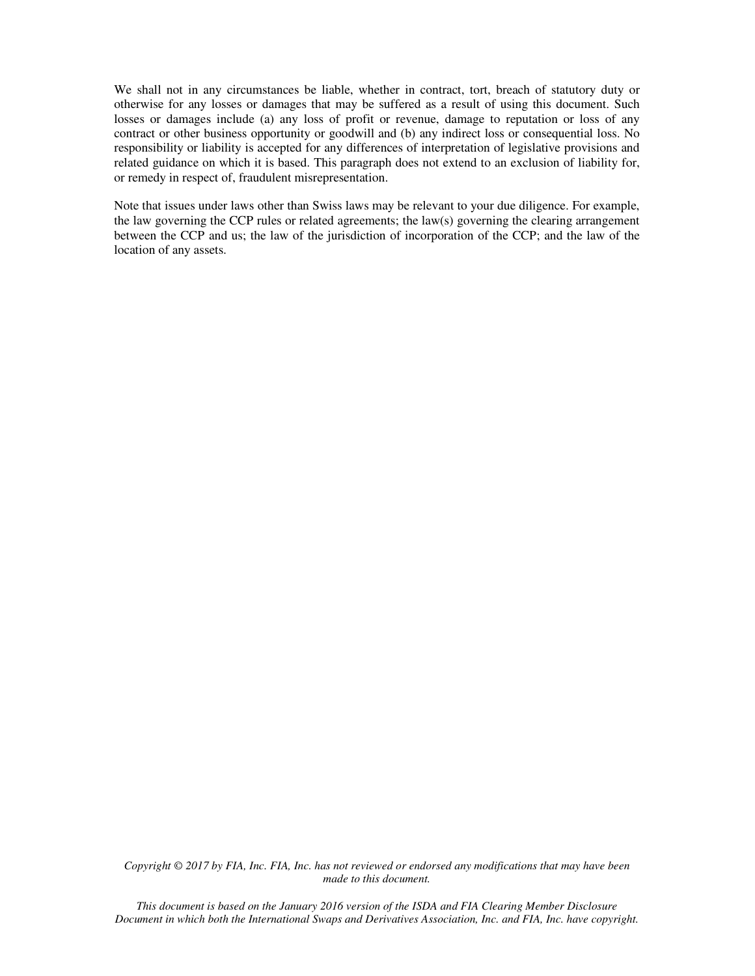We shall not in any circumstances be liable, whether in contract, tort, breach of statutory duty or otherwise for any losses or damages that may be suffered as a result of using this document. Such losses or damages include (a) any loss of profit or revenue, damage to reputation or loss of any contract or other business opportunity or goodwill and (b) any indirect loss or consequential loss. No responsibility or liability is accepted for any differences of interpretation of legislative provisions and related guidance on which it is based. This paragraph does not extend to an exclusion of liability for, or remedy in respect of, fraudulent misrepresentation.

Note that issues under laws other than Swiss laws may be relevant to your due diligence. For example, the law governing the CCP rules or related agreements; the law(s) governing the clearing arrangement between the CCP and us; the law of the jurisdiction of incorporation of the CCP; and the law of the location of any assets.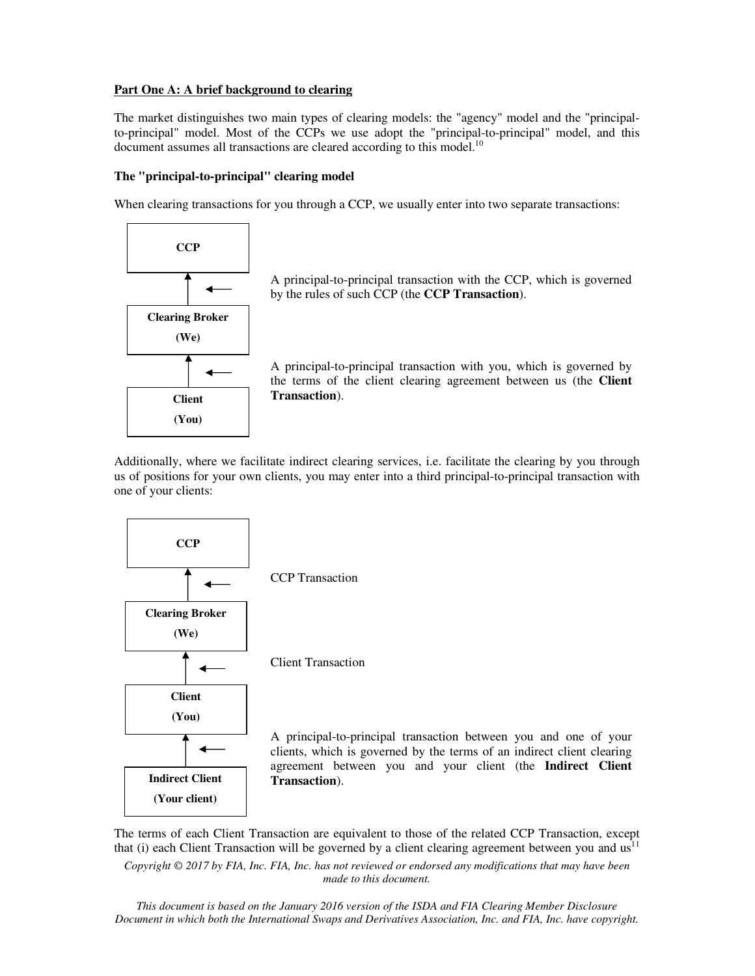## **Part One A: A brief background to clearing**

The market distinguishes two main types of clearing models: the "agency" model and the "principalto-principal" model. Most of the CCPs we use adopt the "principal-to-principal" model, and this document assumes all transactions are cleared according to this model.<sup>10</sup>

# **The "principal-to-principal" clearing model**

When clearing transactions for you through a CCP, we usually enter into two separate transactions:



A principal-to-principal transaction with the CCP, which is governed by the rules of such CCP (the **CCP Transaction**).

A principal-to-principal transaction with you, which is governed by the terms of the client clearing agreement between us (the **Client Transaction**).

Additionally, where we facilitate indirect clearing services, i.e. facilitate the clearing by you through us of positions for your own clients, you may enter into a third principal-to-principal transaction with one of your clients:



The terms of each Client Transaction are equivalent to those of the related CCP Transaction, except that (i) each Client Transaction will be governed by a client clearing agreement between you and  $us<sup>11</sup>$ 

*Copyright © 2017 by FIA, Inc. FIA, Inc. has not reviewed or endorsed any modifications that may have been made to this document.*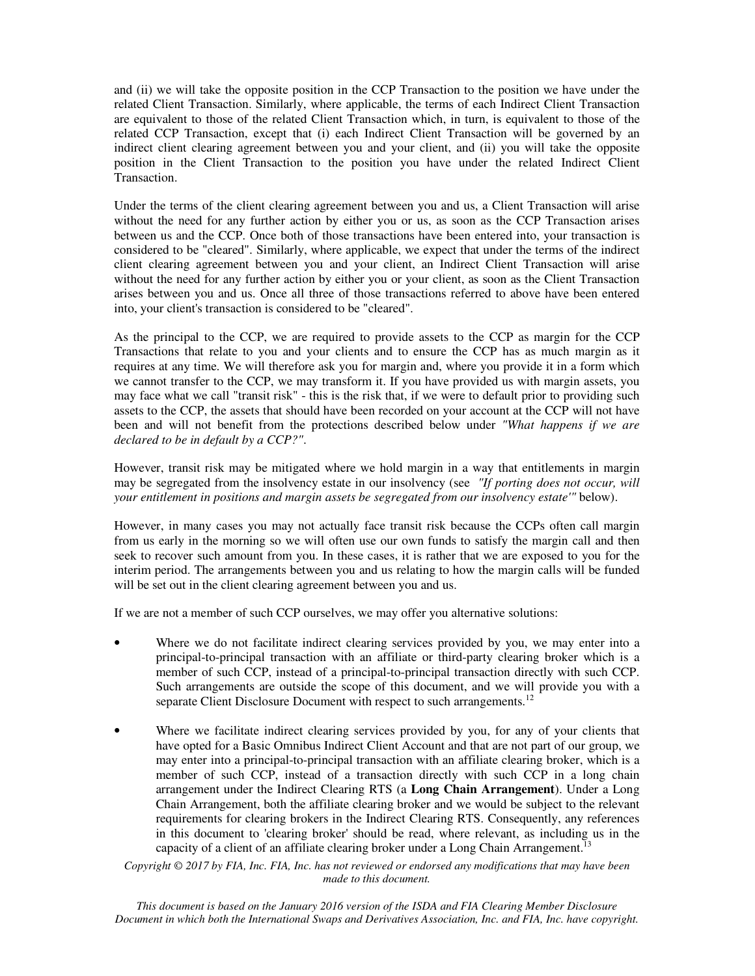and (ii) we will take the opposite position in the CCP Transaction to the position we have under the related Client Transaction. Similarly, where applicable, the terms of each Indirect Client Transaction are equivalent to those of the related Client Transaction which, in turn, is equivalent to those of the related CCP Transaction, except that (i) each Indirect Client Transaction will be governed by an indirect client clearing agreement between you and your client, and (ii) you will take the opposite position in the Client Transaction to the position you have under the related Indirect Client Transaction.

Under the terms of the client clearing agreement between you and us, a Client Transaction will arise without the need for any further action by either you or us, as soon as the CCP Transaction arises between us and the CCP. Once both of those transactions have been entered into, your transaction is considered to be "cleared". Similarly, where applicable, we expect that under the terms of the indirect client clearing agreement between you and your client, an Indirect Client Transaction will arise without the need for any further action by either you or your client, as soon as the Client Transaction arises between you and us. Once all three of those transactions referred to above have been entered into, your client's transaction is considered to be "cleared".

As the principal to the CCP, we are required to provide assets to the CCP as margin for the CCP Transactions that relate to you and your clients and to ensure the CCP has as much margin as it requires at any time. We will therefore ask you for margin and, where you provide it in a form which we cannot transfer to the CCP, we may transform it. If you have provided us with margin assets, you may face what we call "transit risk" - this is the risk that, if we were to default prior to providing such assets to the CCP, the assets that should have been recorded on your account at the CCP will not have been and will not benefit from the protections described below under *"What happens if we are declared to be in default by a CCP?"*.

However, transit risk may be mitigated where we hold margin in a way that entitlements in margin may be segregated from the insolvency estate in our insolvency (see *"If porting does not occur, will your entitlement in positions and margin assets be segregated from our insolvency estate'"* below).

However, in many cases you may not actually face transit risk because the CCPs often call margin from us early in the morning so we will often use our own funds to satisfy the margin call and then seek to recover such amount from you. In these cases, it is rather that we are exposed to you for the interim period. The arrangements between you and us relating to how the margin calls will be funded will be set out in the client clearing agreement between you and us.

If we are not a member of such CCP ourselves, we may offer you alternative solutions:

- Where we do not facilitate indirect clearing services provided by you, we may enter into a principal-to-principal transaction with an affiliate or third-party clearing broker which is a member of such CCP, instead of a principal-to-principal transaction directly with such CCP. Such arrangements are outside the scope of this document, and we will provide you with a separate Client Disclosure Document with respect to such arrangements.<sup>12</sup>
- Where we facilitate indirect clearing services provided by you, for any of your clients that have opted for a Basic Omnibus Indirect Client Account and that are not part of our group, we may enter into a principal-to-principal transaction with an affiliate clearing broker, which is a member of such CCP, instead of a transaction directly with such CCP in a long chain arrangement under the Indirect Clearing RTS (a **Long Chain Arrangement**). Under a Long Chain Arrangement, both the affiliate clearing broker and we would be subject to the relevant requirements for clearing brokers in the Indirect Clearing RTS. Consequently, any references in this document to 'clearing broker' should be read, where relevant, as including us in the capacity of a client of an affiliate clearing broker under a Long Chain Arrangement.<sup>13</sup>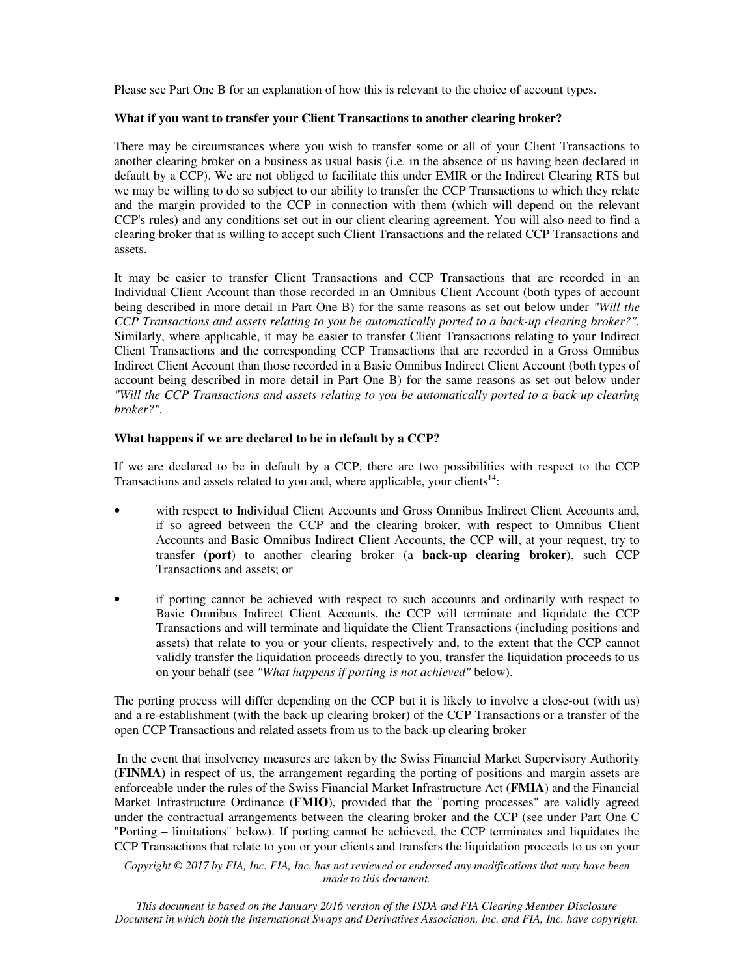Please see Part One B for an explanation of how this is relevant to the choice of account types.

#### **What if you want to transfer your Client Transactions to another clearing broker?**

There may be circumstances where you wish to transfer some or all of your Client Transactions to another clearing broker on a business as usual basis (i.e. in the absence of us having been declared in default by a CCP). We are not obliged to facilitate this under EMIR or the Indirect Clearing RTS but we may be willing to do so subject to our ability to transfer the CCP Transactions to which they relate and the margin provided to the CCP in connection with them (which will depend on the relevant CCP's rules) and any conditions set out in our client clearing agreement. You will also need to find a clearing broker that is willing to accept such Client Transactions and the related CCP Transactions and assets.

It may be easier to transfer Client Transactions and CCP Transactions that are recorded in an Individual Client Account than those recorded in an Omnibus Client Account (both types of account being described in more detail in Part One B) for the same reasons as set out below under *"Will the CCP Transactions and assets relating to you be automatically ported to a back-up clearing broker?".*  Similarly, where applicable, it may be easier to transfer Client Transactions relating to your Indirect Client Transactions and the corresponding CCP Transactions that are recorded in a Gross Omnibus Indirect Client Account than those recorded in a Basic Omnibus Indirect Client Account (both types of account being described in more detail in Part One B) for the same reasons as set out below under *"Will the CCP Transactions and assets relating to you be automatically ported to a back-up clearing broker?".*

#### **What happens if we are declared to be in default by a CCP?**

If we are declared to be in default by a CCP, there are two possibilities with respect to the CCP Transactions and assets related to you and, where applicable, your clients $14$ :

- with respect to Individual Client Accounts and Gross Omnibus Indirect Client Accounts and, if so agreed between the CCP and the clearing broker, with respect to Omnibus Client Accounts and Basic Omnibus Indirect Client Accounts, the CCP will, at your request, try to transfer (**port**) to another clearing broker (a **back-up clearing broker**), such CCP Transactions and assets; or
- if porting cannot be achieved with respect to such accounts and ordinarily with respect to Basic Omnibus Indirect Client Accounts, the CCP will terminate and liquidate the CCP Transactions and will terminate and liquidate the Client Transactions (including positions and assets) that relate to you or your clients, respectively and, to the extent that the CCP cannot validly transfer the liquidation proceeds directly to you, transfer the liquidation proceeds to us on your behalf (see *"What happens if porting is not achieved"* below).

The porting process will differ depending on the CCP but it is likely to involve a close-out (with us) and a re-establishment (with the back-up clearing broker) of the CCP Transactions or a transfer of the open CCP Transactions and related assets from us to the back-up clearing broker

 In the event that insolvency measures are taken by the Swiss Financial Market Supervisory Authority (**FINMA**) in respect of us, the arrangement regarding the porting of positions and margin assets are enforceable under the rules of the Swiss Financial Market Infrastructure Act (**FMIA**) and the Financial Market Infrastructure Ordinance (**FMIO**), provided that the "porting processes" are validly agreed under the contractual arrangements between the clearing broker and the CCP (see under Part One C "Porting – limitations" below). If porting cannot be achieved, the CCP terminates and liquidates the CCP Transactions that relate to you or your clients and transfers the liquidation proceeds to us on your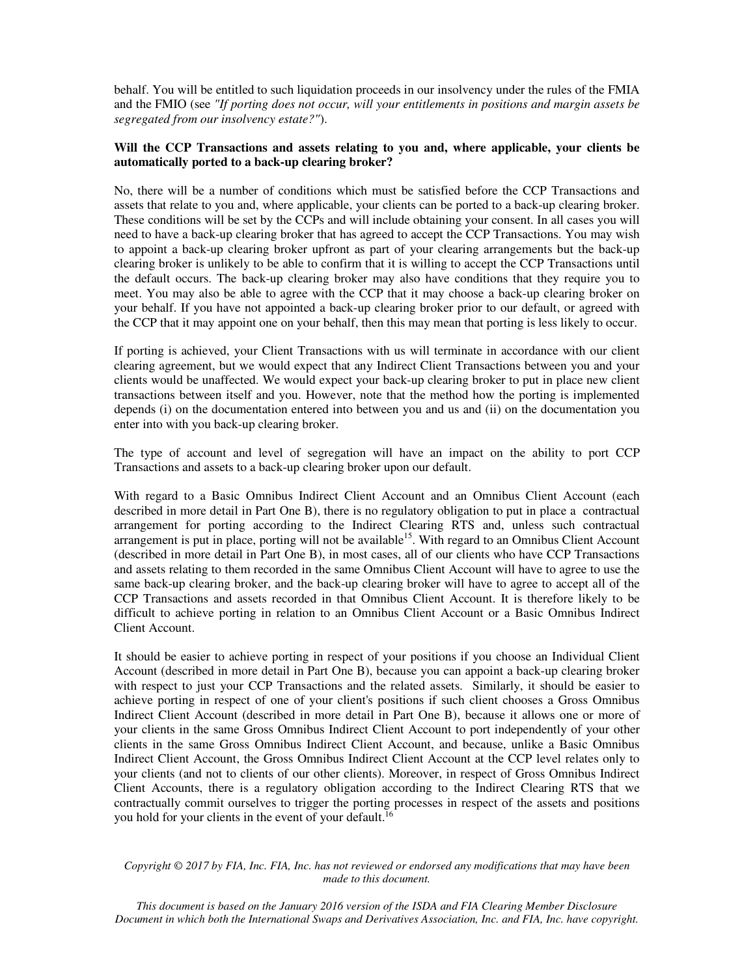behalf. You will be entitled to such liquidation proceeds in our insolvency under the rules of the FMIA and the FMIO (see *"If porting does not occur, will your entitlements in positions and margin assets be segregated from our insolvency estate?"*).

# **Will the CCP Transactions and assets relating to you and, where applicable, your clients be automatically ported to a back-up clearing broker?**

No, there will be a number of conditions which must be satisfied before the CCP Transactions and assets that relate to you and, where applicable, your clients can be ported to a back-up clearing broker. These conditions will be set by the CCPs and will include obtaining your consent. In all cases you will need to have a back-up clearing broker that has agreed to accept the CCP Transactions. You may wish to appoint a back-up clearing broker upfront as part of your clearing arrangements but the back-up clearing broker is unlikely to be able to confirm that it is willing to accept the CCP Transactions until the default occurs. The back-up clearing broker may also have conditions that they require you to meet. You may also be able to agree with the CCP that it may choose a back-up clearing broker on your behalf. If you have not appointed a back-up clearing broker prior to our default, or agreed with the CCP that it may appoint one on your behalf, then this may mean that porting is less likely to occur.

If porting is achieved, your Client Transactions with us will terminate in accordance with our client clearing agreement, but we would expect that any Indirect Client Transactions between you and your clients would be unaffected. We would expect your back-up clearing broker to put in place new client transactions between itself and you. However, note that the method how the porting is implemented depends (i) on the documentation entered into between you and us and (ii) on the documentation you enter into with you back-up clearing broker.

The type of account and level of segregation will have an impact on the ability to port CCP Transactions and assets to a back-up clearing broker upon our default.

With regard to a Basic Omnibus Indirect Client Account and an Omnibus Client Account (each described in more detail in Part One B), there is no regulatory obligation to put in place a contractual arrangement for porting according to the Indirect Clearing RTS and, unless such contractual arrangement is put in place, porting will not be available<sup>15</sup>. With regard to an Omnibus Client Account (described in more detail in Part One B), in most cases, all of our clients who have CCP Transactions and assets relating to them recorded in the same Omnibus Client Account will have to agree to use the same back-up clearing broker, and the back-up clearing broker will have to agree to accept all of the CCP Transactions and assets recorded in that Omnibus Client Account. It is therefore likely to be difficult to achieve porting in relation to an Omnibus Client Account or a Basic Omnibus Indirect Client Account.

It should be easier to achieve porting in respect of your positions if you choose an Individual Client Account (described in more detail in Part One B), because you can appoint a back-up clearing broker with respect to just your CCP Transactions and the related assets. Similarly, it should be easier to achieve porting in respect of one of your client's positions if such client chooses a Gross Omnibus Indirect Client Account (described in more detail in Part One B), because it allows one or more of your clients in the same Gross Omnibus Indirect Client Account to port independently of your other clients in the same Gross Omnibus Indirect Client Account, and because, unlike a Basic Omnibus Indirect Client Account, the Gross Omnibus Indirect Client Account at the CCP level relates only to your clients (and not to clients of our other clients). Moreover, in respect of Gross Omnibus Indirect Client Accounts, there is a regulatory obligation according to the Indirect Clearing RTS that we contractually commit ourselves to trigger the porting processes in respect of the assets and positions you hold for your clients in the event of your default.<sup>16</sup>

*Copyright © 2017 by FIA, Inc. FIA, Inc. has not reviewed or endorsed any modifications that may have been made to this document.*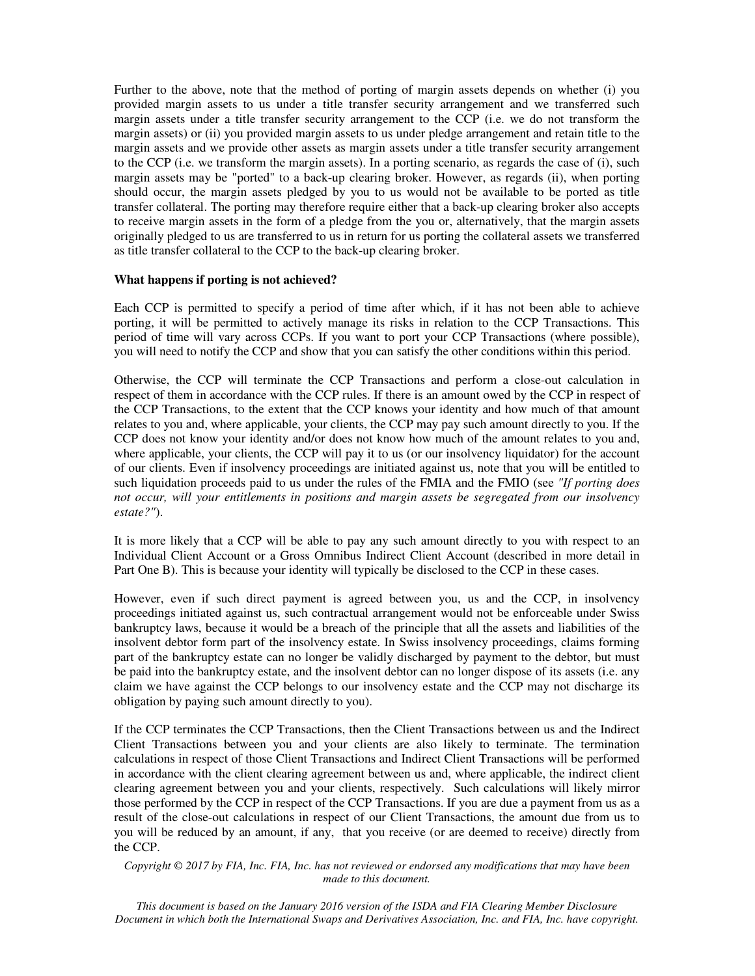Further to the above, note that the method of porting of margin assets depends on whether (i) you provided margin assets to us under a title transfer security arrangement and we transferred such margin assets under a title transfer security arrangement to the CCP (i.e. we do not transform the margin assets) or (ii) you provided margin assets to us under pledge arrangement and retain title to the margin assets and we provide other assets as margin assets under a title transfer security arrangement to the CCP (i.e. we transform the margin assets). In a porting scenario, as regards the case of (i), such margin assets may be "ported" to a back-up clearing broker. However, as regards (ii), when porting should occur, the margin assets pledged by you to us would not be available to be ported as title transfer collateral. The porting may therefore require either that a back-up clearing broker also accepts to receive margin assets in the form of a pledge from the you or, alternatively, that the margin assets originally pledged to us are transferred to us in return for us porting the collateral assets we transferred as title transfer collateral to the CCP to the back-up clearing broker.

#### **What happens if porting is not achieved?**

Each CCP is permitted to specify a period of time after which, if it has not been able to achieve porting, it will be permitted to actively manage its risks in relation to the CCP Transactions. This period of time will vary across CCPs. If you want to port your CCP Transactions (where possible), you will need to notify the CCP and show that you can satisfy the other conditions within this period.

Otherwise, the CCP will terminate the CCP Transactions and perform a close-out calculation in respect of them in accordance with the CCP rules. If there is an amount owed by the CCP in respect of the CCP Transactions, to the extent that the CCP knows your identity and how much of that amount relates to you and, where applicable, your clients, the CCP may pay such amount directly to you. If the CCP does not know your identity and/or does not know how much of the amount relates to you and, where applicable, your clients, the CCP will pay it to us (or our insolvency liquidator) for the account of our clients. Even if insolvency proceedings are initiated against us, note that you will be entitled to such liquidation proceeds paid to us under the rules of the FMIA and the FMIO (see *"If porting does not occur, will your entitlements in positions and margin assets be segregated from our insolvency estate?"*).

It is more likely that a CCP will be able to pay any such amount directly to you with respect to an Individual Client Account or a Gross Omnibus Indirect Client Account (described in more detail in Part One B). This is because your identity will typically be disclosed to the CCP in these cases.

However, even if such direct payment is agreed between you, us and the CCP, in insolvency proceedings initiated against us, such contractual arrangement would not be enforceable under Swiss bankruptcy laws, because it would be a breach of the principle that all the assets and liabilities of the insolvent debtor form part of the insolvency estate. In Swiss insolvency proceedings, claims forming part of the bankruptcy estate can no longer be validly discharged by payment to the debtor, but must be paid into the bankruptcy estate, and the insolvent debtor can no longer dispose of its assets (i.e. any claim we have against the CCP belongs to our insolvency estate and the CCP may not discharge its obligation by paying such amount directly to you).

If the CCP terminates the CCP Transactions, then the Client Transactions between us and the Indirect Client Transactions between you and your clients are also likely to terminate. The termination calculations in respect of those Client Transactions and Indirect Client Transactions will be performed in accordance with the client clearing agreement between us and, where applicable, the indirect client clearing agreement between you and your clients, respectively. Such calculations will likely mirror those performed by the CCP in respect of the CCP Transactions. If you are due a payment from us as a result of the close-out calculations in respect of our Client Transactions, the amount due from us to you will be reduced by an amount, if any, that you receive (or are deemed to receive) directly from the CCP.

*Copyright © 2017 by FIA, Inc. FIA, Inc. has not reviewed or endorsed any modifications that may have been made to this document.*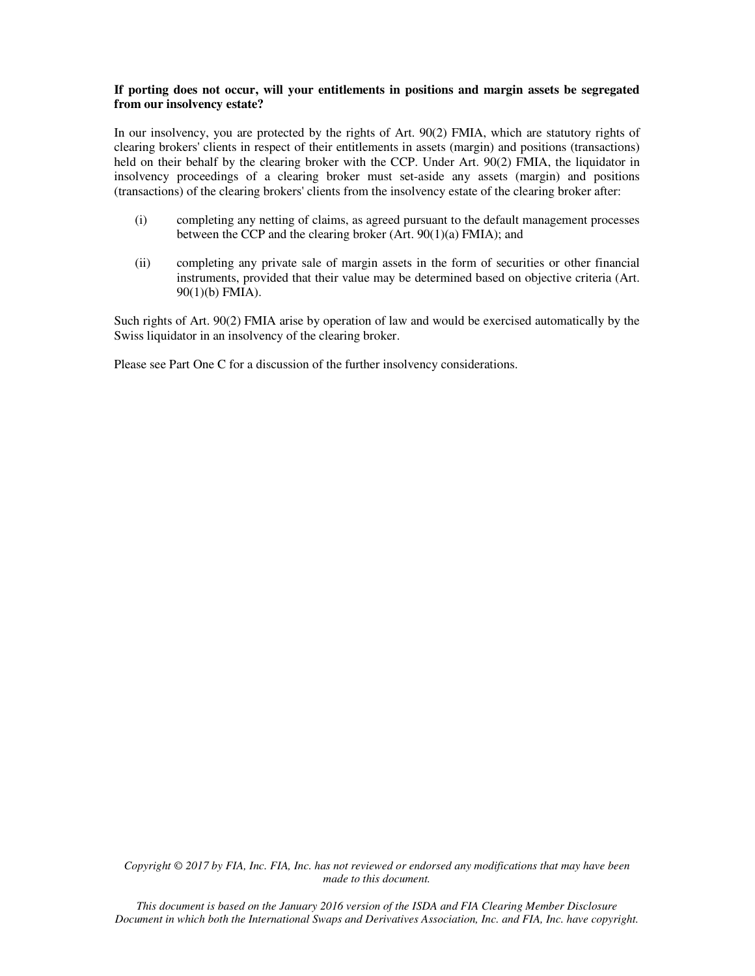#### **If porting does not occur, will your entitlements in positions and margin assets be segregated from our insolvency estate?**

In our insolvency, you are protected by the rights of Art. 90(2) FMIA, which are statutory rights of clearing brokers' clients in respect of their entitlements in assets (margin) and positions (transactions) held on their behalf by the clearing broker with the CCP. Under Art. 90(2) FMIA, the liquidator in insolvency proceedings of a clearing broker must set-aside any assets (margin) and positions (transactions) of the clearing brokers' clients from the insolvency estate of the clearing broker after:

- (i) completing any netting of claims, as agreed pursuant to the default management processes between the CCP and the clearing broker (Art. 90(1)(a) FMIA); and
- (ii) completing any private sale of margin assets in the form of securities or other financial instruments, provided that their value may be determined based on objective criteria (Art. 90(1)(b) FMIA).

Such rights of Art. 90(2) FMIA arise by operation of law and would be exercised automatically by the Swiss liquidator in an insolvency of the clearing broker.

Please see Part One C for a discussion of the further insolvency considerations.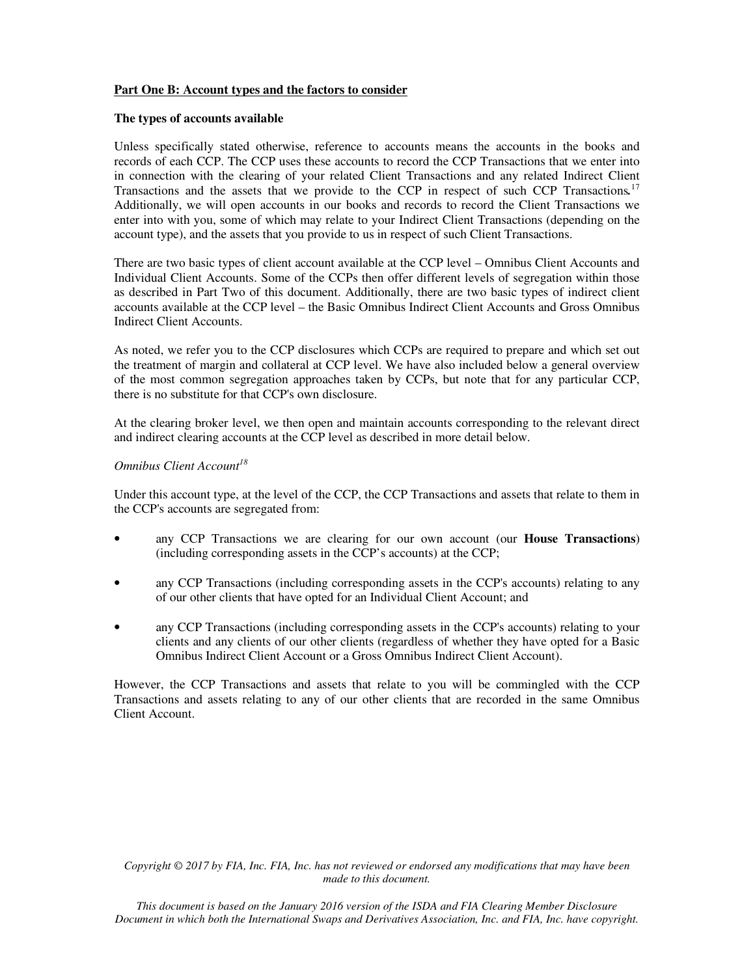## **Part One B: Account types and the factors to consider**

#### **The types of accounts available**

Unless specifically stated otherwise, reference to accounts means the accounts in the books and records of each CCP. The CCP uses these accounts to record the CCP Transactions that we enter into in connection with the clearing of your related Client Transactions and any related Indirect Client Transactions and the assets that we provide to the CCP in respect of such CCP Transactions*.* 17 Additionally, we will open accounts in our books and records to record the Client Transactions we enter into with you, some of which may relate to your Indirect Client Transactions (depending on the account type), and the assets that you provide to us in respect of such Client Transactions.

There are two basic types of client account available at the CCP level – Omnibus Client Accounts and Individual Client Accounts. Some of the CCPs then offer different levels of segregation within those as described in Part Two of this document. Additionally, there are two basic types of indirect client accounts available at the CCP level – the Basic Omnibus Indirect Client Accounts and Gross Omnibus Indirect Client Accounts.

As noted, we refer you to the CCP disclosures which CCPs are required to prepare and which set out the treatment of margin and collateral at CCP level. We have also included below a general overview of the most common segregation approaches taken by CCPs, but note that for any particular CCP, there is no substitute for that CCP's own disclosure.

At the clearing broker level, we then open and maintain accounts corresponding to the relevant direct and indirect clearing accounts at the CCP level as described in more detail below.

# *Omnibus Client Account<sup>18</sup>*

Under this account type, at the level of the CCP, the CCP Transactions and assets that relate to them in the CCP's accounts are segregated from:

- any CCP Transactions we are clearing for our own account (our **House Transactions**) (including corresponding assets in the CCP's accounts) at the CCP;
- any CCP Transactions (including corresponding assets in the CCP's accounts) relating to any of our other clients that have opted for an Individual Client Account; and
- any CCP Transactions (including corresponding assets in the CCP's accounts) relating to your clients and any clients of our other clients (regardless of whether they have opted for a Basic Omnibus Indirect Client Account or a Gross Omnibus Indirect Client Account).

However, the CCP Transactions and assets that relate to you will be commingled with the CCP Transactions and assets relating to any of our other clients that are recorded in the same Omnibus Client Account.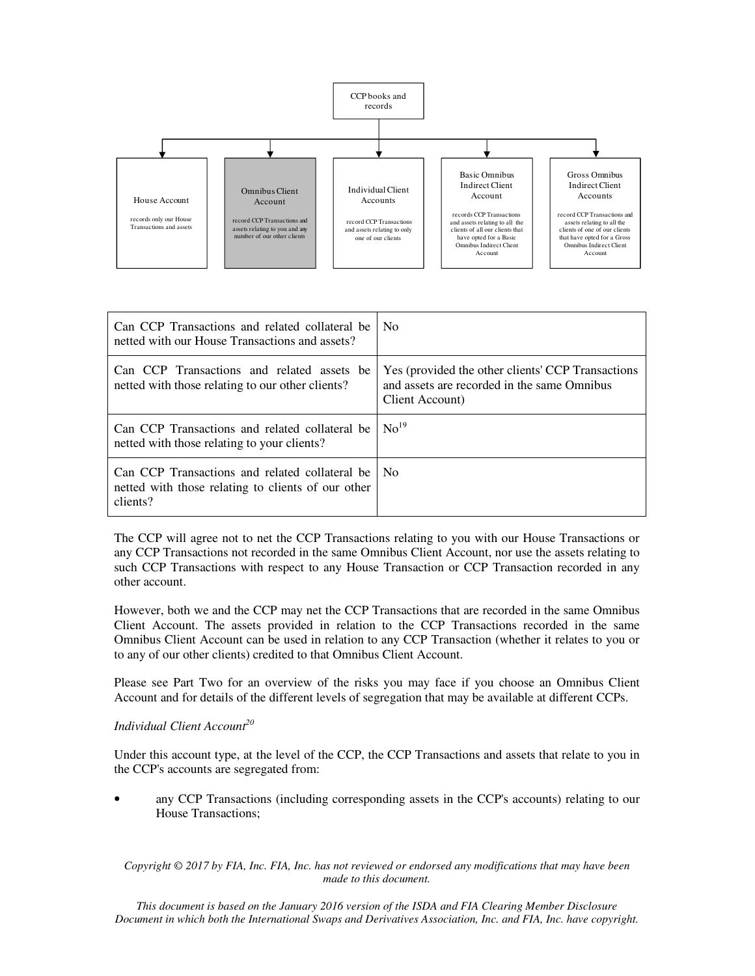

| Can CCP Transactions and related collateral be<br>netted with our House Transactions and assets?                 | N <sub>0</sub>                                                                                                      |
|------------------------------------------------------------------------------------------------------------------|---------------------------------------------------------------------------------------------------------------------|
| Can CCP Transactions and related assets be<br>netted with those relating to our other clients?                   | Yes (provided the other clients' CCP Transactions<br>and assets are recorded in the same Omnibus<br>Client Account) |
| Can CCP Transactions and related collateral be<br>netted with those relating to your clients?                    | No <sup>19</sup>                                                                                                    |
| Can CCP Transactions and related collateral be<br>netted with those relating to clients of our other<br>clients? | No.                                                                                                                 |

The CCP will agree not to net the CCP Transactions relating to you with our House Transactions or any CCP Transactions not recorded in the same Omnibus Client Account, nor use the assets relating to such CCP Transactions with respect to any House Transaction or CCP Transaction recorded in any other account.

However, both we and the CCP may net the CCP Transactions that are recorded in the same Omnibus Client Account. The assets provided in relation to the CCP Transactions recorded in the same Omnibus Client Account can be used in relation to any CCP Transaction (whether it relates to you or to any of our other clients) credited to that Omnibus Client Account.

Please see Part Two for an overview of the risks you may face if you choose an Omnibus Client Account and for details of the different levels of segregation that may be available at different CCPs.

## *Individual Client Account<sup>20</sup>*

Under this account type, at the level of the CCP, the CCP Transactions and assets that relate to you in the CCP's accounts are segregated from:

• any CCP Transactions (including corresponding assets in the CCP's accounts) relating to our House Transactions;

*Copyright © 2017 by FIA, Inc. FIA, Inc. has not reviewed or endorsed any modifications that may have been made to this document.*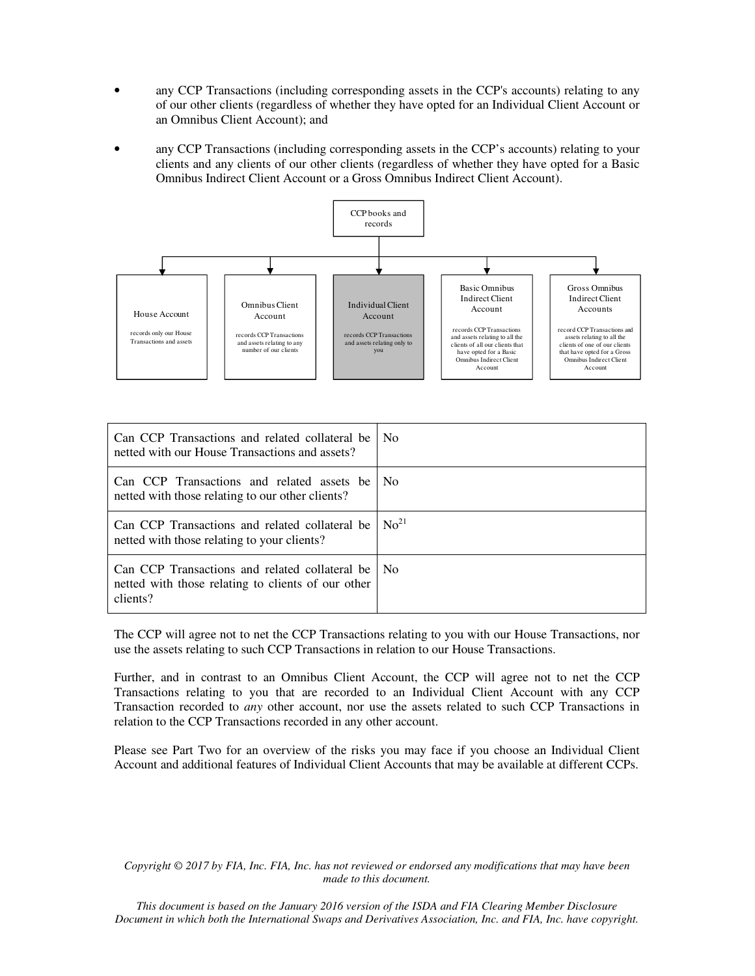- any CCP Transactions (including corresponding assets in the CCP's accounts) relating to any of our other clients (regardless of whether they have opted for an Individual Client Account or an Omnibus Client Account); and
- any CCP Transactions (including corresponding assets in the CCP's accounts) relating to your clients and any clients of our other clients (regardless of whether they have opted for a Basic Omnibus Indirect Client Account or a Gross Omnibus Indirect Client Account).



| Can CCP Transactions and related collateral be<br>netted with our House Transactions and assets?                 | N <sub>0</sub>   |
|------------------------------------------------------------------------------------------------------------------|------------------|
| Can CCP Transactions and related assets be<br>netted with those relating to our other clients?                   | N <sub>0</sub>   |
| Can CCP Transactions and related collateral be<br>netted with those relating to your clients?                    | No <sup>21</sup> |
| Can CCP Transactions and related collateral be<br>netted with those relating to clients of our other<br>clients? | N <sub>0</sub>   |

The CCP will agree not to net the CCP Transactions relating to you with our House Transactions, nor use the assets relating to such CCP Transactions in relation to our House Transactions.

Further, and in contrast to an Omnibus Client Account, the CCP will agree not to net the CCP Transactions relating to you that are recorded to an Individual Client Account with any CCP Transaction recorded to *any* other account, nor use the assets related to such CCP Transactions in relation to the CCP Transactions recorded in any other account.

Please see Part Two for an overview of the risks you may face if you choose an Individual Client Account and additional features of Individual Client Accounts that may be available at different CCPs.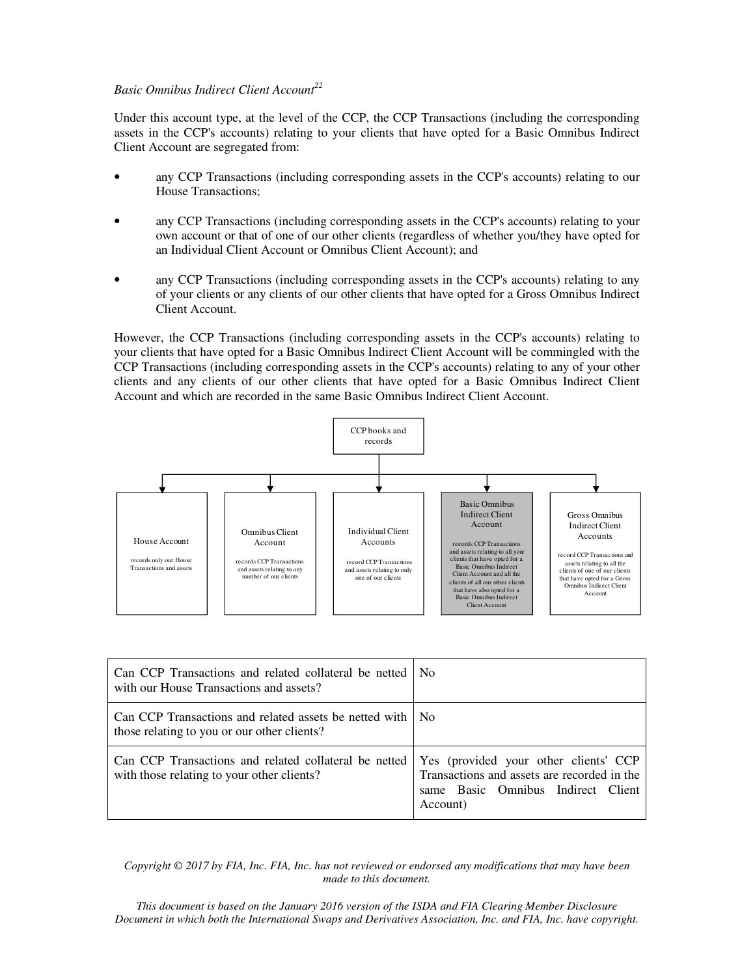## *Basic Omnibus Indirect Client Account<sup>22</sup>*

Under this account type, at the level of the CCP, the CCP Transactions (including the corresponding assets in the CCP's accounts) relating to your clients that have opted for a Basic Omnibus Indirect Client Account are segregated from:

- any CCP Transactions (including corresponding assets in the CCP's accounts) relating to our House Transactions;
- any CCP Transactions (including corresponding assets in the CCP's accounts) relating to your own account or that of one of our other clients (regardless of whether you/they have opted for an Individual Client Account or Omnibus Client Account); and
- any CCP Transactions (including corresponding assets in the CCP's accounts) relating to any of your clients or any clients of our other clients that have opted for a Gross Omnibus Indirect Client Account.

However, the CCP Transactions (including corresponding assets in the CCP's accounts) relating to your clients that have opted for a Basic Omnibus Indirect Client Account will be commingled with the CCP Transactions (including corresponding assets in the CCP's accounts) relating to any of your other clients and any clients of our other clients that have opted for a Basic Omnibus Indirect Client Account and which are recorded in the same Basic Omnibus Indirect Client Account.



| Can CCP Transactions and related collateral be netted<br>with our House Transactions and assets?      | N <sub>0</sub>                                                                                                                         |
|-------------------------------------------------------------------------------------------------------|----------------------------------------------------------------------------------------------------------------------------------------|
| Can CCP Transactions and related assets be netted with<br>those relating to you or our other clients? | No.                                                                                                                                    |
| Can CCP Transactions and related collateral be netted<br>with those relating to your other clients?   | Yes (provided your other clients' CCP<br>Transactions and assets are recorded in the<br>same Basic Omnibus Indirect Client<br>Account) |

*Copyright © 2017 by FIA, Inc. FIA, Inc. has not reviewed or endorsed any modifications that may have been made to this document.*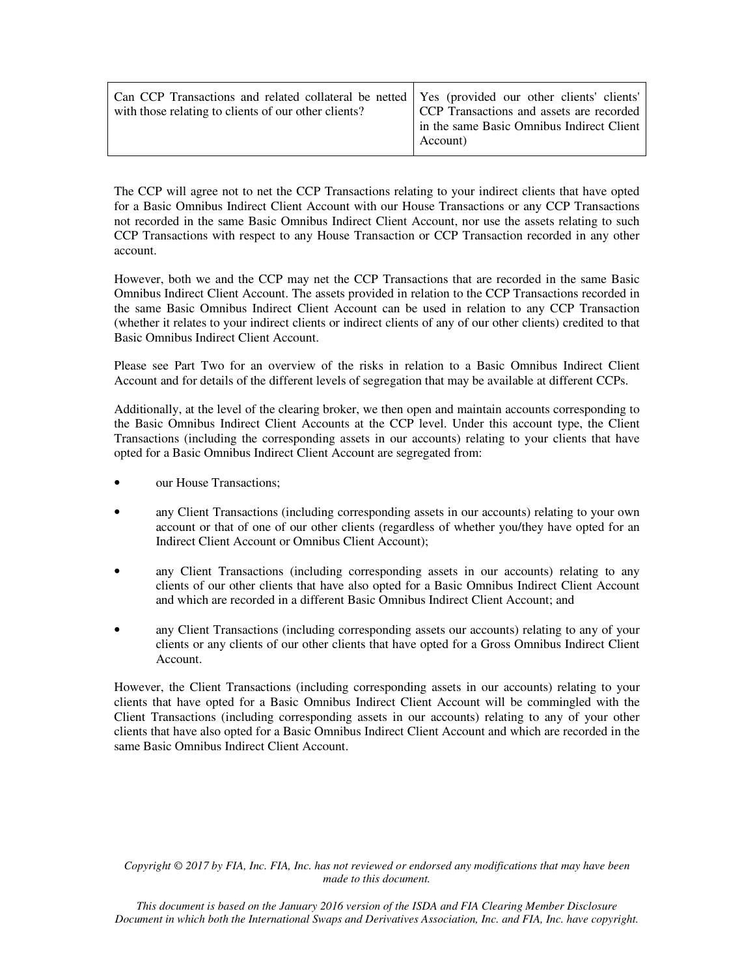| Can CCP Transactions and related collateral be netted Yes (provided our other clients' clients'<br>with those relating to clients of our other clients? | CCP Transactions and assets are recorded<br>in the same Basic Omnibus Indirect Client<br>Account) |
|---------------------------------------------------------------------------------------------------------------------------------------------------------|---------------------------------------------------------------------------------------------------|
|---------------------------------------------------------------------------------------------------------------------------------------------------------|---------------------------------------------------------------------------------------------------|

The CCP will agree not to net the CCP Transactions relating to your indirect clients that have opted for a Basic Omnibus Indirect Client Account with our House Transactions or any CCP Transactions not recorded in the same Basic Omnibus Indirect Client Account, nor use the assets relating to such CCP Transactions with respect to any House Transaction or CCP Transaction recorded in any other account.

However, both we and the CCP may net the CCP Transactions that are recorded in the same Basic Omnibus Indirect Client Account. The assets provided in relation to the CCP Transactions recorded in the same Basic Omnibus Indirect Client Account can be used in relation to any CCP Transaction (whether it relates to your indirect clients or indirect clients of any of our other clients) credited to that Basic Omnibus Indirect Client Account.

Please see Part Two for an overview of the risks in relation to a Basic Omnibus Indirect Client Account and for details of the different levels of segregation that may be available at different CCPs.

Additionally, at the level of the clearing broker, we then open and maintain accounts corresponding to the Basic Omnibus Indirect Client Accounts at the CCP level. Under this account type, the Client Transactions (including the corresponding assets in our accounts) relating to your clients that have opted for a Basic Omnibus Indirect Client Account are segregated from:

- our House Transactions:
- any Client Transactions (including corresponding assets in our accounts) relating to your own account or that of one of our other clients (regardless of whether you/they have opted for an Indirect Client Account or Omnibus Client Account);
- any Client Transactions (including corresponding assets in our accounts) relating to any clients of our other clients that have also opted for a Basic Omnibus Indirect Client Account and which are recorded in a different Basic Omnibus Indirect Client Account; and
- any Client Transactions (including corresponding assets our accounts) relating to any of your clients or any clients of our other clients that have opted for a Gross Omnibus Indirect Client Account.

However, the Client Transactions (including corresponding assets in our accounts) relating to your clients that have opted for a Basic Omnibus Indirect Client Account will be commingled with the Client Transactions (including corresponding assets in our accounts) relating to any of your other clients that have also opted for a Basic Omnibus Indirect Client Account and which are recorded in the same Basic Omnibus Indirect Client Account.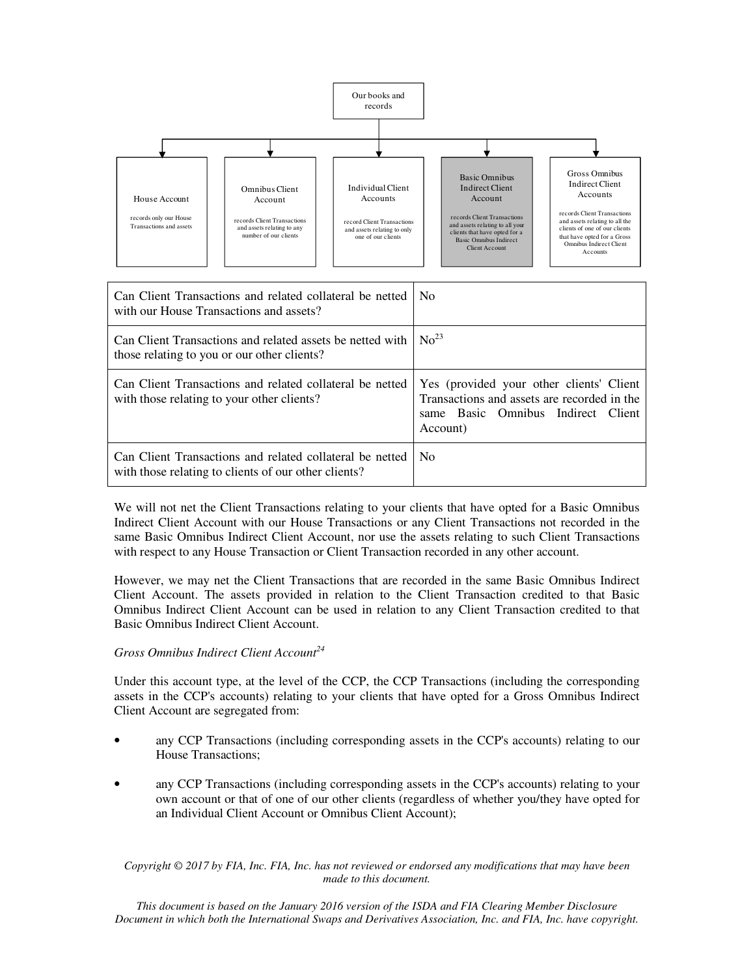

| Can Client Transactions and related collateral be netted<br>with our House Transactions and assets?              | - No                                                                                                                                      |
|------------------------------------------------------------------------------------------------------------------|-------------------------------------------------------------------------------------------------------------------------------------------|
| Can Client Transactions and related assets be netted with<br>those relating to you or our other clients?         | $\text{No}^{23}$                                                                                                                          |
| Can Client Transactions and related collateral be netted<br>with those relating to your other clients?           | Yes (provided your other clients' Client<br>Transactions and assets are recorded in the<br>same Basic Omnibus Indirect Client<br>Account) |
| Can Client Transactions and related collateral be netted<br>with those relating to clients of our other clients? | No.                                                                                                                                       |

We will not net the Client Transactions relating to your clients that have opted for a Basic Omnibus Indirect Client Account with our House Transactions or any Client Transactions not recorded in the same Basic Omnibus Indirect Client Account, nor use the assets relating to such Client Transactions with respect to any House Transaction or Client Transaction recorded in any other account.

However, we may net the Client Transactions that are recorded in the same Basic Omnibus Indirect Client Account. The assets provided in relation to the Client Transaction credited to that Basic Omnibus Indirect Client Account can be used in relation to any Client Transaction credited to that Basic Omnibus Indirect Client Account.

## *Gross Omnibus Indirect Client Account<sup>24</sup>*

Under this account type, at the level of the CCP, the CCP Transactions (including the corresponding assets in the CCP's accounts) relating to your clients that have opted for a Gross Omnibus Indirect Client Account are segregated from:

- any CCP Transactions (including corresponding assets in the CCP's accounts) relating to our House Transactions;
- any CCP Transactions (including corresponding assets in the CCP's accounts) relating to your own account or that of one of our other clients (regardless of whether you/they have opted for an Individual Client Account or Omnibus Client Account);

*Copyright © 2017 by FIA, Inc. FIA, Inc. has not reviewed or endorsed any modifications that may have been made to this document.*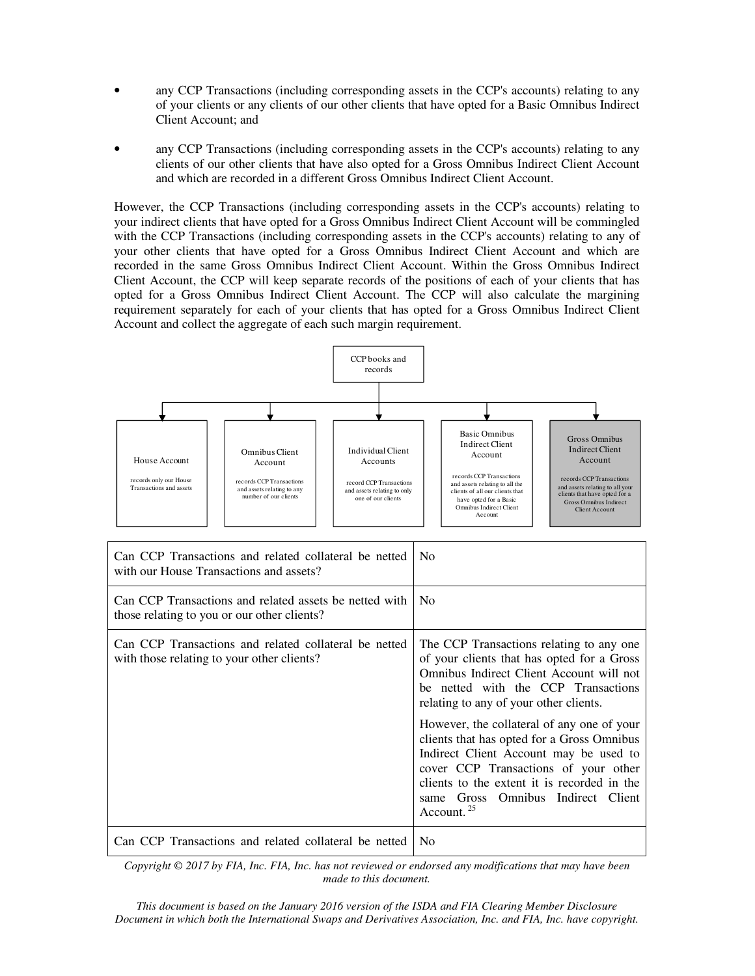- any CCP Transactions (including corresponding assets in the CCP's accounts) relating to any of your clients or any clients of our other clients that have opted for a Basic Omnibus Indirect Client Account; and
- any CCP Transactions (including corresponding assets in the CCP's accounts) relating to any clients of our other clients that have also opted for a Gross Omnibus Indirect Client Account and which are recorded in a different Gross Omnibus Indirect Client Account.

However, the CCP Transactions (including corresponding assets in the CCP's accounts) relating to your indirect clients that have opted for a Gross Omnibus Indirect Client Account will be commingled with the CCP Transactions (including corresponding assets in the CCP's accounts) relating to any of your other clients that have opted for a Gross Omnibus Indirect Client Account and which are recorded in the same Gross Omnibus Indirect Client Account. Within the Gross Omnibus Indirect Client Account, the CCP will keep separate records of the positions of each of your clients that has opted for a Gross Omnibus Indirect Client Account. The CCP will also calculate the margining requirement separately for each of your clients that has opted for a Gross Omnibus Indirect Client Account and collect the aggregate of each such margin requirement.



| Can CCP Transactions and related collateral be netted<br>with our House Transactions and assets?      | N <sub>0</sub>                                                                                                                                                                                                                                                                                                                                                                                                                                                                                                   |
|-------------------------------------------------------------------------------------------------------|------------------------------------------------------------------------------------------------------------------------------------------------------------------------------------------------------------------------------------------------------------------------------------------------------------------------------------------------------------------------------------------------------------------------------------------------------------------------------------------------------------------|
| Can CCP Transactions and related assets be netted with<br>those relating to you or our other clients? | N <sub>0</sub>                                                                                                                                                                                                                                                                                                                                                                                                                                                                                                   |
| Can CCP Transactions and related collateral be netted<br>with those relating to your other clients?   | The CCP Transactions relating to any one<br>of your clients that has opted for a Gross<br>Omnibus Indirect Client Account will not<br>be netted with the CCP Transactions<br>relating to any of your other clients.<br>However, the collateral of any one of your<br>clients that has opted for a Gross Omnibus<br>Indirect Client Account may be used to<br>cover CCP Transactions of your other<br>clients to the extent it is recorded in the<br>same Gross Omnibus Indirect Client<br>Account. <sup>25</sup> |
| Can CCP Transactions and related collateral be netted                                                 | N <sub>0</sub>                                                                                                                                                                                                                                                                                                                                                                                                                                                                                                   |

*Copyright © 2017 by FIA, Inc. FIA, Inc. has not reviewed or endorsed any modifications that may have been made to this document.*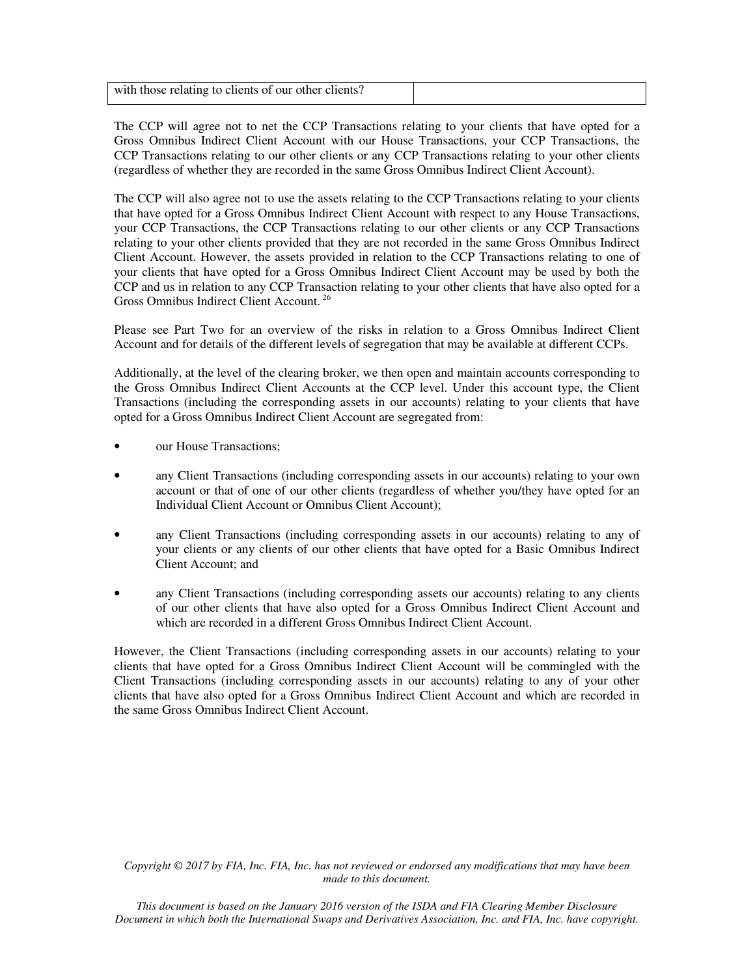| with those relating to clients of our other clients? |  |
|------------------------------------------------------|--|

The CCP will agree not to net the CCP Transactions relating to your clients that have opted for a Gross Omnibus Indirect Client Account with our House Transactions, your CCP Transactions, the CCP Transactions relating to our other clients or any CCP Transactions relating to your other clients (regardless of whether they are recorded in the same Gross Omnibus Indirect Client Account).

The CCP will also agree not to use the assets relating to the CCP Transactions relating to your clients that have opted for a Gross Omnibus Indirect Client Account with respect to any House Transactions, your CCP Transactions, the CCP Transactions relating to our other clients or any CCP Transactions relating to your other clients provided that they are not recorded in the same Gross Omnibus Indirect Client Account. However, the assets provided in relation to the CCP Transactions relating to one of your clients that have opted for a Gross Omnibus Indirect Client Account may be used by both the CCP and us in relation to any CCP Transaction relating to your other clients that have also opted for a Gross Omnibus Indirect Client Account.<sup>26</sup>

Please see Part Two for an overview of the risks in relation to a Gross Omnibus Indirect Client Account and for details of the different levels of segregation that may be available at different CCPs.

Additionally, at the level of the clearing broker, we then open and maintain accounts corresponding to the Gross Omnibus Indirect Client Accounts at the CCP level. Under this account type, the Client Transactions (including the corresponding assets in our accounts) relating to your clients that have opted for a Gross Omnibus Indirect Client Account are segregated from:

- our House Transactions;
- any Client Transactions (including corresponding assets in our accounts) relating to your own account or that of one of our other clients (regardless of whether you/they have opted for an Individual Client Account or Omnibus Client Account);
- any Client Transactions (including corresponding assets in our accounts) relating to any of your clients or any clients of our other clients that have opted for a Basic Omnibus Indirect Client Account; and
- any Client Transactions (including corresponding assets our accounts) relating to any clients of our other clients that have also opted for a Gross Omnibus Indirect Client Account and which are recorded in a different Gross Omnibus Indirect Client Account.

However, the Client Transactions (including corresponding assets in our accounts) relating to your clients that have opted for a Gross Omnibus Indirect Client Account will be commingled with the Client Transactions (including corresponding assets in our accounts) relating to any of your other clients that have also opted for a Gross Omnibus Indirect Client Account and which are recorded in the same Gross Omnibus Indirect Client Account.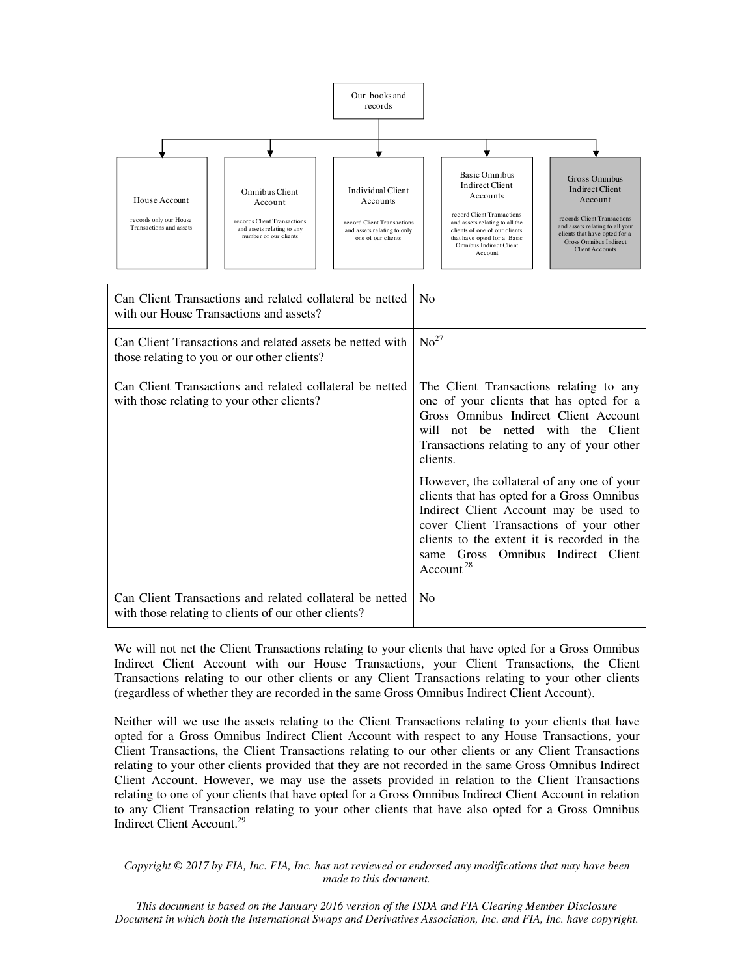

| Can Client Transactions and related collateral be netted<br>with our House Transactions and assets?              | <b>No</b>                                                                                                                                                                                                                                                                                                                                                          |
|------------------------------------------------------------------------------------------------------------------|--------------------------------------------------------------------------------------------------------------------------------------------------------------------------------------------------------------------------------------------------------------------------------------------------------------------------------------------------------------------|
| Can Client Transactions and related assets be netted with<br>those relating to you or our other clients?         | No <sup>27</sup>                                                                                                                                                                                                                                                                                                                                                   |
| Can Client Transactions and related collateral be netted<br>with those relating to your other clients?           | The Client Transactions relating to any<br>one of your clients that has opted for a<br>Gross Omnibus Indirect Client Account<br>will not be netted with the Client<br>Transactions relating to any of your other<br>clients.<br>However, the collateral of any one of your<br>clients that has opted for a Gross Omnibus<br>Indirect Client Account may be used to |
|                                                                                                                  | cover Client Transactions of your other<br>clients to the extent it is recorded in the<br>same Gross Omnibus Indirect Client<br>Account $28$                                                                                                                                                                                                                       |
| Can Client Transactions and related collateral be netted<br>with those relating to clients of our other clients? | <b>No</b>                                                                                                                                                                                                                                                                                                                                                          |

We will not net the Client Transactions relating to your clients that have opted for a Gross Omnibus Indirect Client Account with our House Transactions, your Client Transactions, the Client Transactions relating to our other clients or any Client Transactions relating to your other clients (regardless of whether they are recorded in the same Gross Omnibus Indirect Client Account).

Neither will we use the assets relating to the Client Transactions relating to your clients that have opted for a Gross Omnibus Indirect Client Account with respect to any House Transactions, your Client Transactions, the Client Transactions relating to our other clients or any Client Transactions relating to your other clients provided that they are not recorded in the same Gross Omnibus Indirect Client Account. However, we may use the assets provided in relation to the Client Transactions relating to one of your clients that have opted for a Gross Omnibus Indirect Client Account in relation to any Client Transaction relating to your other clients that have also opted for a Gross Omnibus Indirect Client Account.<sup>29</sup>

*Copyright © 2017 by FIA, Inc. FIA, Inc. has not reviewed or endorsed any modifications that may have been made to this document.*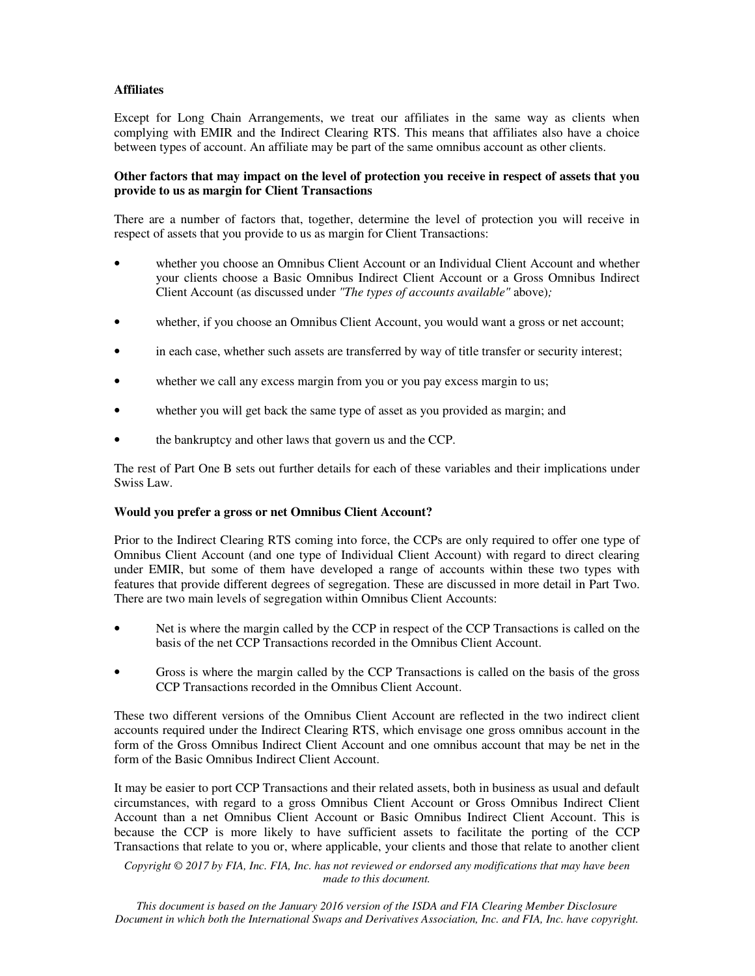# **Affiliates**

Except for Long Chain Arrangements, we treat our affiliates in the same way as clients when complying with EMIR and the Indirect Clearing RTS. This means that affiliates also have a choice between types of account. An affiliate may be part of the same omnibus account as other clients.

## **Other factors that may impact on the level of protection you receive in respect of assets that you provide to us as margin for Client Transactions**

There are a number of factors that, together, determine the level of protection you will receive in respect of assets that you provide to us as margin for Client Transactions:

- whether you choose an Omnibus Client Account or an Individual Client Account and whether your clients choose a Basic Omnibus Indirect Client Account or a Gross Omnibus Indirect Client Account (as discussed under *"The types of accounts available"* above)*;*
- whether, if you choose an Omnibus Client Account, you would want a gross or net account;
- in each case, whether such assets are transferred by way of title transfer or security interest;
- whether we call any excess margin from you or you pay excess margin to us;
- whether you will get back the same type of asset as you provided as margin; and
- the bankruptcy and other laws that govern us and the CCP.

The rest of Part One B sets out further details for each of these variables and their implications under Swiss Law.

#### **Would you prefer a gross or net Omnibus Client Account?**

Prior to the Indirect Clearing RTS coming into force, the CCPs are only required to offer one type of Omnibus Client Account (and one type of Individual Client Account) with regard to direct clearing under EMIR, but some of them have developed a range of accounts within these two types with features that provide different degrees of segregation. These are discussed in more detail in Part Two. There are two main levels of segregation within Omnibus Client Accounts:

- Net is where the margin called by the CCP in respect of the CCP Transactions is called on the basis of the net CCP Transactions recorded in the Omnibus Client Account.
- Gross is where the margin called by the CCP Transactions is called on the basis of the gross CCP Transactions recorded in the Omnibus Client Account.

These two different versions of the Omnibus Client Account are reflected in the two indirect client accounts required under the Indirect Clearing RTS, which envisage one gross omnibus account in the form of the Gross Omnibus Indirect Client Account and one omnibus account that may be net in the form of the Basic Omnibus Indirect Client Account.

It may be easier to port CCP Transactions and their related assets, both in business as usual and default circumstances, with regard to a gross Omnibus Client Account or Gross Omnibus Indirect Client Account than a net Omnibus Client Account or Basic Omnibus Indirect Client Account. This is because the CCP is more likely to have sufficient assets to facilitate the porting of the CCP Transactions that relate to you or, where applicable, your clients and those that relate to another client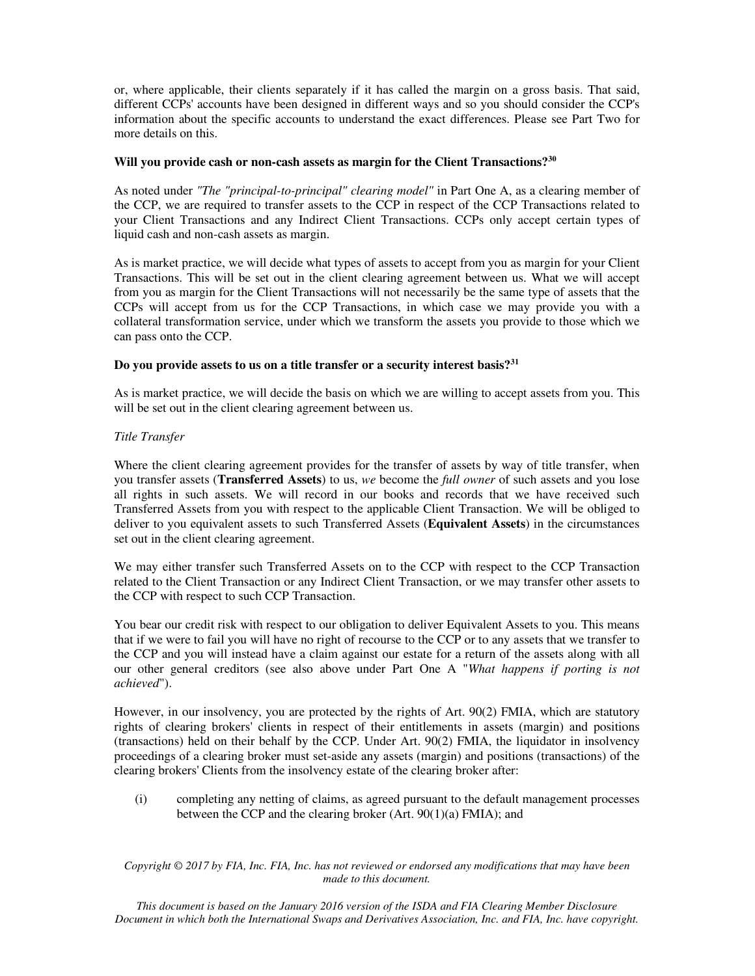or, where applicable, their clients separately if it has called the margin on a gross basis. That said, different CCPs' accounts have been designed in different ways and so you should consider the CCP's information about the specific accounts to understand the exact differences. Please see Part Two for more details on this.

## **Will you provide cash or non-cash assets as margin for the Client Transactions?<sup>30</sup>**

As noted under *"The "principal-to-principal" clearing model"* in Part One A, as a clearing member of the CCP, we are required to transfer assets to the CCP in respect of the CCP Transactions related to your Client Transactions and any Indirect Client Transactions. CCPs only accept certain types of liquid cash and non-cash assets as margin.

As is market practice, we will decide what types of assets to accept from you as margin for your Client Transactions. This will be set out in the client clearing agreement between us. What we will accept from you as margin for the Client Transactions will not necessarily be the same type of assets that the CCPs will accept from us for the CCP Transactions, in which case we may provide you with a collateral transformation service, under which we transform the assets you provide to those which we can pass onto the CCP.

# **Do you provide assets to us on a title transfer or a security interest basis?<sup>31</sup>**

As is market practice, we will decide the basis on which we are willing to accept assets from you. This will be set out in the client clearing agreement between us.

# *Title Transfer*

Where the client clearing agreement provides for the transfer of assets by way of title transfer, when you transfer assets (**Transferred Assets**) to us, *we* become the *full owner* of such assets and you lose all rights in such assets. We will record in our books and records that we have received such Transferred Assets from you with respect to the applicable Client Transaction. We will be obliged to deliver to you equivalent assets to such Transferred Assets (**Equivalent Assets**) in the circumstances set out in the client clearing agreement.

We may either transfer such Transferred Assets on to the CCP with respect to the CCP Transaction related to the Client Transaction or any Indirect Client Transaction, or we may transfer other assets to the CCP with respect to such CCP Transaction.

You bear our credit risk with respect to our obligation to deliver Equivalent Assets to you. This means that if we were to fail you will have no right of recourse to the CCP or to any assets that we transfer to the CCP and you will instead have a claim against our estate for a return of the assets along with all our other general creditors (see also above under Part One A "*What happens if porting is not achieved*").

However, in our insolvency, you are protected by the rights of Art. 90(2) FMIA, which are statutory rights of clearing brokers' clients in respect of their entitlements in assets (margin) and positions (transactions) held on their behalf by the CCP. Under Art. 90(2) FMIA, the liquidator in insolvency proceedings of a clearing broker must set-aside any assets (margin) and positions (transactions) of the clearing brokers' Clients from the insolvency estate of the clearing broker after:

(i) completing any netting of claims, as agreed pursuant to the default management processes between the CCP and the clearing broker (Art. 90(1)(a) FMIA); and

*Copyright © 2017 by FIA, Inc. FIA, Inc. has not reviewed or endorsed any modifications that may have been made to this document.*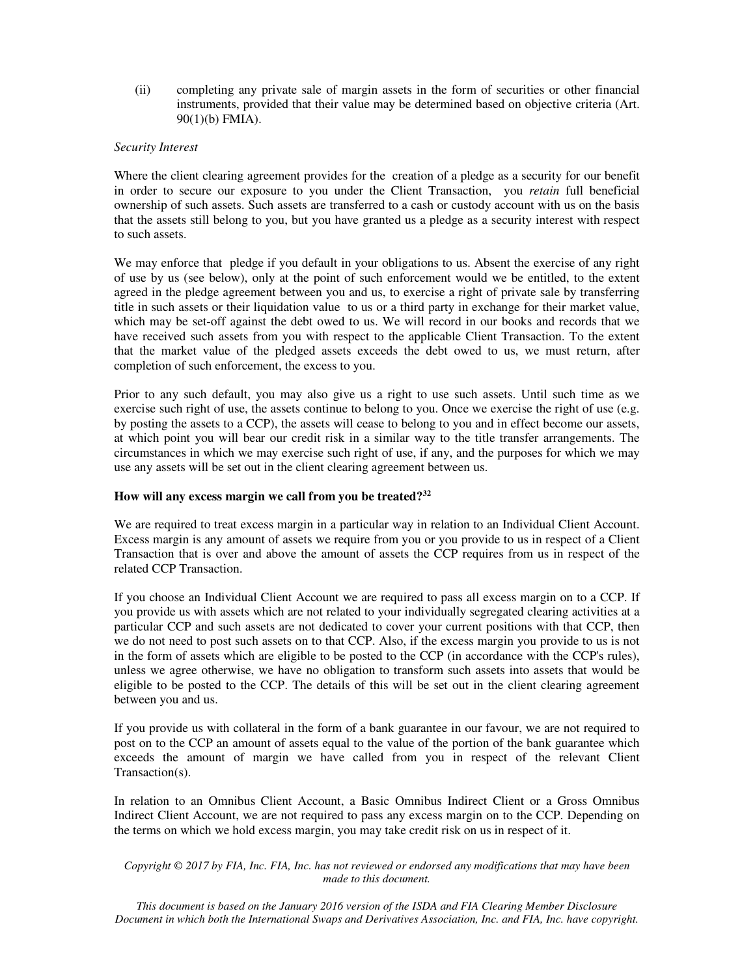(ii) completing any private sale of margin assets in the form of securities or other financial instruments, provided that their value may be determined based on objective criteria (Art. 90(1)(b) FMIA).

#### *Security Interest*

Where the client clearing agreement provides for the creation of a pledge as a security for our benefit in order to secure our exposure to you under the Client Transaction, you *retain* full beneficial ownership of such assets. Such assets are transferred to a cash or custody account with us on the basis that the assets still belong to you, but you have granted us a pledge as a security interest with respect to such assets.

We may enforce that pledge if you default in your obligations to us. Absent the exercise of any right of use by us (see below), only at the point of such enforcement would we be entitled, to the extent agreed in the pledge agreement between you and us, to exercise a right of private sale by transferring title in such assets or their liquidation value to us or a third party in exchange for their market value, which may be set-off against the debt owed to us. We will record in our books and records that we have received such assets from you with respect to the applicable Client Transaction. To the extent that the market value of the pledged assets exceeds the debt owed to us, we must return, after completion of such enforcement, the excess to you.

Prior to any such default, you may also give us a right to use such assets. Until such time as we exercise such right of use, the assets continue to belong to you. Once we exercise the right of use (e.g. by posting the assets to a CCP), the assets will cease to belong to you and in effect become our assets, at which point you will bear our credit risk in a similar way to the title transfer arrangements. The circumstances in which we may exercise such right of use, if any, and the purposes for which we may use any assets will be set out in the client clearing agreement between us.

#### **How will any excess margin we call from you be treated?<sup>32</sup>**

We are required to treat excess margin in a particular way in relation to an Individual Client Account. Excess margin is any amount of assets we require from you or you provide to us in respect of a Client Transaction that is over and above the amount of assets the CCP requires from us in respect of the related CCP Transaction.

If you choose an Individual Client Account we are required to pass all excess margin on to a CCP. If you provide us with assets which are not related to your individually segregated clearing activities at a particular CCP and such assets are not dedicated to cover your current positions with that CCP, then we do not need to post such assets on to that CCP. Also, if the excess margin you provide to us is not in the form of assets which are eligible to be posted to the CCP (in accordance with the CCP's rules), unless we agree otherwise, we have no obligation to transform such assets into assets that would be eligible to be posted to the CCP. The details of this will be set out in the client clearing agreement between you and us.

If you provide us with collateral in the form of a bank guarantee in our favour, we are not required to post on to the CCP an amount of assets equal to the value of the portion of the bank guarantee which exceeds the amount of margin we have called from you in respect of the relevant Client Transaction(s).

In relation to an Omnibus Client Account, a Basic Omnibus Indirect Client or a Gross Omnibus Indirect Client Account, we are not required to pass any excess margin on to the CCP. Depending on the terms on which we hold excess margin, you may take credit risk on us in respect of it.

*Copyright © 2017 by FIA, Inc. FIA, Inc. has not reviewed or endorsed any modifications that may have been made to this document.*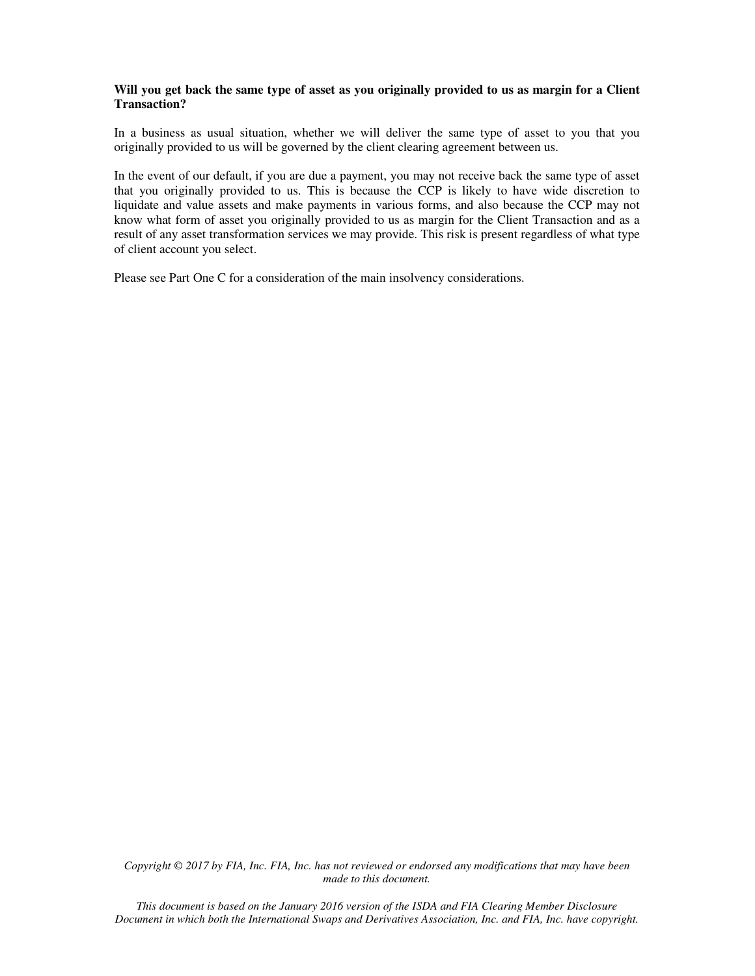#### **Will you get back the same type of asset as you originally provided to us as margin for a Client Transaction?**

In a business as usual situation, whether we will deliver the same type of asset to you that you originally provided to us will be governed by the client clearing agreement between us.

In the event of our default, if you are due a payment, you may not receive back the same type of asset that you originally provided to us. This is because the CCP is likely to have wide discretion to liquidate and value assets and make payments in various forms, and also because the CCP may not know what form of asset you originally provided to us as margin for the Client Transaction and as a result of any asset transformation services we may provide. This risk is present regardless of what type of client account you select.

Please see Part One C for a consideration of the main insolvency considerations.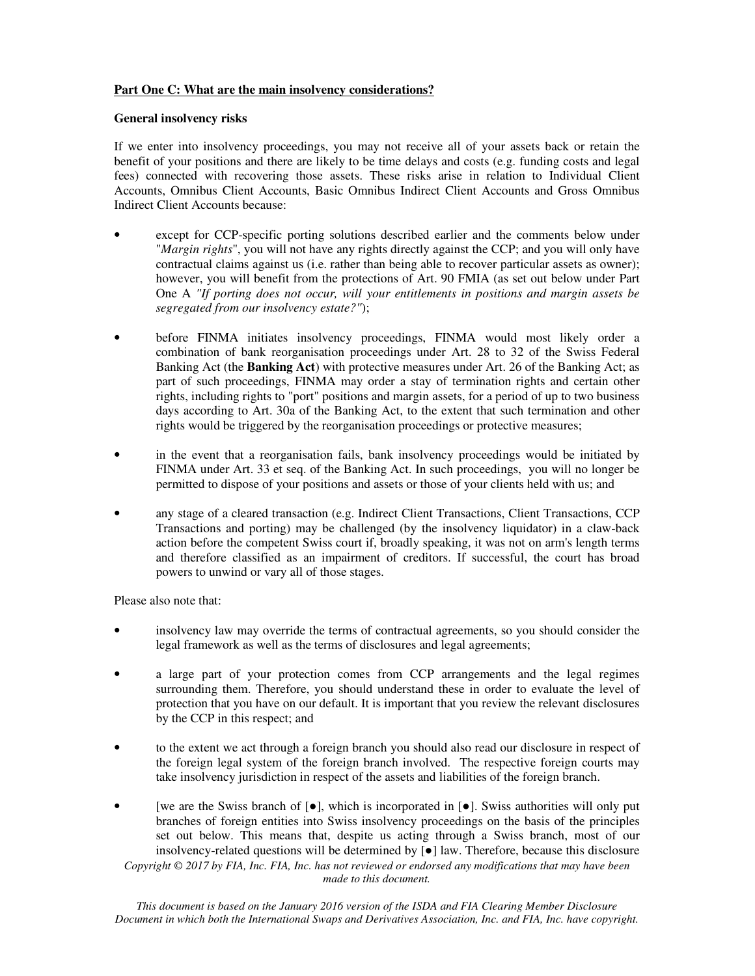# **Part One C: What are the main insolvency considerations?**

#### **General insolvency risks**

If we enter into insolvency proceedings, you may not receive all of your assets back or retain the benefit of your positions and there are likely to be time delays and costs (e.g. funding costs and legal fees) connected with recovering those assets. These risks arise in relation to Individual Client Accounts, Omnibus Client Accounts, Basic Omnibus Indirect Client Accounts and Gross Omnibus Indirect Client Accounts because:

- except for CCP-specific porting solutions described earlier and the comments below under "*Margin rights*", you will not have any rights directly against the CCP; and you will only have contractual claims against us (i.e. rather than being able to recover particular assets as owner); however, you will benefit from the protections of Art. 90 FMIA (as set out below under Part One A *"If porting does not occur, will your entitlements in positions and margin assets be segregated from our insolvency estate?"*);
- before FINMA initiates insolvency proceedings, FINMA would most likely order a combination of bank reorganisation proceedings under Art. 28 to 32 of the Swiss Federal Banking Act (the **Banking Act**) with protective measures under Art. 26 of the Banking Act; as part of such proceedings, FINMA may order a stay of termination rights and certain other rights, including rights to "port" positions and margin assets, for a period of up to two business days according to Art. 30a of the Banking Act, to the extent that such termination and other rights would be triggered by the reorganisation proceedings or protective measures;
- in the event that a reorganisation fails, bank insolvency proceedings would be initiated by FINMA under Art. 33 et seq. of the Banking Act. In such proceedings, you will no longer be permitted to dispose of your positions and assets or those of your clients held with us; and
- any stage of a cleared transaction (e.g. Indirect Client Transactions, Client Transactions, CCP Transactions and porting) may be challenged (by the insolvency liquidator) in a claw-back action before the competent Swiss court if, broadly speaking, it was not on arm's length terms and therefore classified as an impairment of creditors. If successful, the court has broad powers to unwind or vary all of those stages.

Please also note that:

- insolvency law may override the terms of contractual agreements, so you should consider the legal framework as well as the terms of disclosures and legal agreements;
- a large part of your protection comes from CCP arrangements and the legal regimes surrounding them. Therefore, you should understand these in order to evaluate the level of protection that you have on our default. It is important that you review the relevant disclosures by the CCP in this respect; and
- to the extent we act through a foreign branch you should also read our disclosure in respect of the foreign legal system of the foreign branch involved. The respective foreign courts may take insolvency jurisdiction in respect of the assets and liabilities of the foreign branch.
- *Copyright © 2017 by FIA, Inc. FIA, Inc. has not reviewed or endorsed any modifications that may have been made to this document.*  [we are the Swiss branch of  $[\bullet]$ , which is incorporated in  $[\bullet]$ . Swiss authorities will only put branches of foreign entities into Swiss insolvency proceedings on the basis of the principles set out below. This means that, despite us acting through a Swiss branch, most of our insolvency-related questions will be determined by [●] law. Therefore, because this disclosure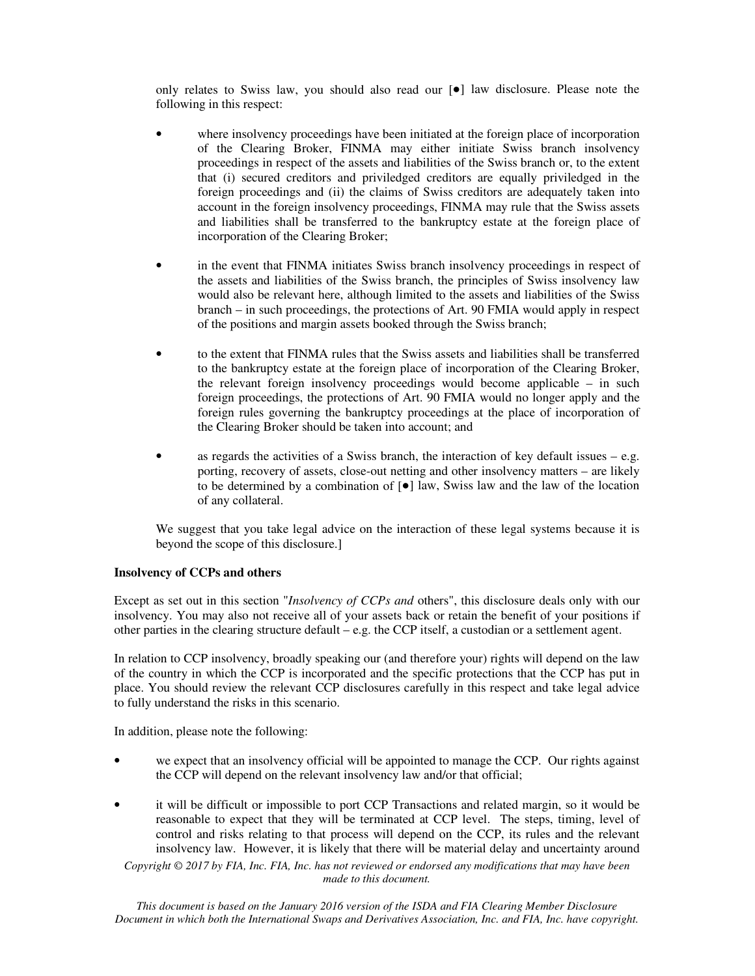only relates to Swiss law, you should also read our [●] law disclosure. Please note the following in this respect:

- where insolvency proceedings have been initiated at the foreign place of incorporation of the Clearing Broker, FINMA may either initiate Swiss branch insolvency proceedings in respect of the assets and liabilities of the Swiss branch or, to the extent that (i) secured creditors and priviledged creditors are equally priviledged in the foreign proceedings and (ii) the claims of Swiss creditors are adequately taken into account in the foreign insolvency proceedings, FINMA may rule that the Swiss assets and liabilities shall be transferred to the bankruptcy estate at the foreign place of incorporation of the Clearing Broker;
- in the event that FINMA initiates Swiss branch insolvency proceedings in respect of the assets and liabilities of the Swiss branch, the principles of Swiss insolvency law would also be relevant here, although limited to the assets and liabilities of the Swiss branch – in such proceedings, the protections of Art. 90 FMIA would apply in respect of the positions and margin assets booked through the Swiss branch;
- to the extent that FINMA rules that the Swiss assets and liabilities shall be transferred to the bankruptcy estate at the foreign place of incorporation of the Clearing Broker, the relevant foreign insolvency proceedings would become applicable – in such foreign proceedings, the protections of Art. 90 FMIA would no longer apply and the foreign rules governing the bankruptcy proceedings at the place of incorporation of the Clearing Broker should be taken into account; and
- as regards the activities of a Swiss branch, the interaction of key default issues e.g. porting, recovery of assets, close-out netting and other insolvency matters – are likely to be determined by a combination of  $\lceil \bullet \rceil$  law, Swiss law and the law of the location of any collateral.

We suggest that you take legal advice on the interaction of these legal systems because it is beyond the scope of this disclosure.]

## **Insolvency of CCPs and others**

Except as set out in this section "*Insolvency of CCPs and* others", this disclosure deals only with our insolvency. You may also not receive all of your assets back or retain the benefit of your positions if other parties in the clearing structure default – e.g. the CCP itself, a custodian or a settlement agent.

In relation to CCP insolvency, broadly speaking our (and therefore your) rights will depend on the law of the country in which the CCP is incorporated and the specific protections that the CCP has put in place. You should review the relevant CCP disclosures carefully in this respect and take legal advice to fully understand the risks in this scenario.

In addition, please note the following:

- we expect that an insolvency official will be appointed to manage the CCP. Our rights against the CCP will depend on the relevant insolvency law and/or that official;
- it will be difficult or impossible to port CCP Transactions and related margin, so it would be reasonable to expect that they will be terminated at CCP level. The steps, timing, level of control and risks relating to that process will depend on the CCP, its rules and the relevant insolvency law. However, it is likely that there will be material delay and uncertainty around

*Copyright © 2017 by FIA, Inc. FIA, Inc. has not reviewed or endorsed any modifications that may have been made to this document.*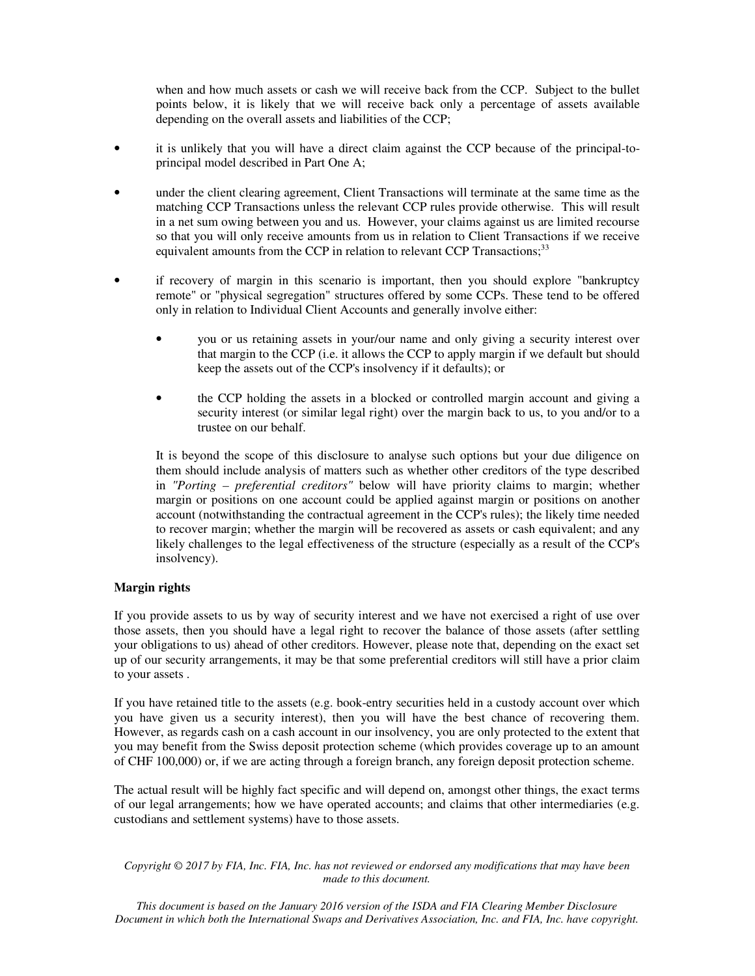when and how much assets or cash we will receive back from the CCP. Subject to the bullet points below, it is likely that we will receive back only a percentage of assets available depending on the overall assets and liabilities of the CCP;

- it is unlikely that you will have a direct claim against the CCP because of the principal-toprincipal model described in Part One A;
- under the client clearing agreement, Client Transactions will terminate at the same time as the matching CCP Transactions unless the relevant CCP rules provide otherwise. This will result in a net sum owing between you and us. However, your claims against us are limited recourse so that you will only receive amounts from us in relation to Client Transactions if we receive equivalent amounts from the CCP in relation to relevant CCP Transactions;<sup>33</sup>
- if recovery of margin in this scenario is important, then you should explore "bankruptcy" remote" or "physical segregation" structures offered by some CCPs. These tend to be offered only in relation to Individual Client Accounts and generally involve either:
	- you or us retaining assets in your/our name and only giving a security interest over that margin to the CCP (i.e. it allows the CCP to apply margin if we default but should keep the assets out of the CCP's insolvency if it defaults); or
	- the CCP holding the assets in a blocked or controlled margin account and giving a security interest (or similar legal right) over the margin back to us, to you and/or to a trustee on our behalf.

It is beyond the scope of this disclosure to analyse such options but your due diligence on them should include analysis of matters such as whether other creditors of the type described in *"Porting – preferential creditors"* below will have priority claims to margin; whether margin or positions on one account could be applied against margin or positions on another account (notwithstanding the contractual agreement in the CCP's rules); the likely time needed to recover margin; whether the margin will be recovered as assets or cash equivalent; and any likely challenges to the legal effectiveness of the structure (especially as a result of the CCP's insolvency).

## **Margin rights**

If you provide assets to us by way of security interest and we have not exercised a right of use over those assets, then you should have a legal right to recover the balance of those assets (after settling your obligations to us) ahead of other creditors. However, please note that, depending on the exact set up of our security arrangements, it may be that some preferential creditors will still have a prior claim to your assets .

If you have retained title to the assets (e.g. book-entry securities held in a custody account over which you have given us a security interest), then you will have the best chance of recovering them. However, as regards cash on a cash account in our insolvency, you are only protected to the extent that you may benefit from the Swiss deposit protection scheme (which provides coverage up to an amount of CHF 100,000) or, if we are acting through a foreign branch, any foreign deposit protection scheme.

The actual result will be highly fact specific and will depend on, amongst other things, the exact terms of our legal arrangements; how we have operated accounts; and claims that other intermediaries (e.g. custodians and settlement systems) have to those assets.

*Copyright © 2017 by FIA, Inc. FIA, Inc. has not reviewed or endorsed any modifications that may have been made to this document.*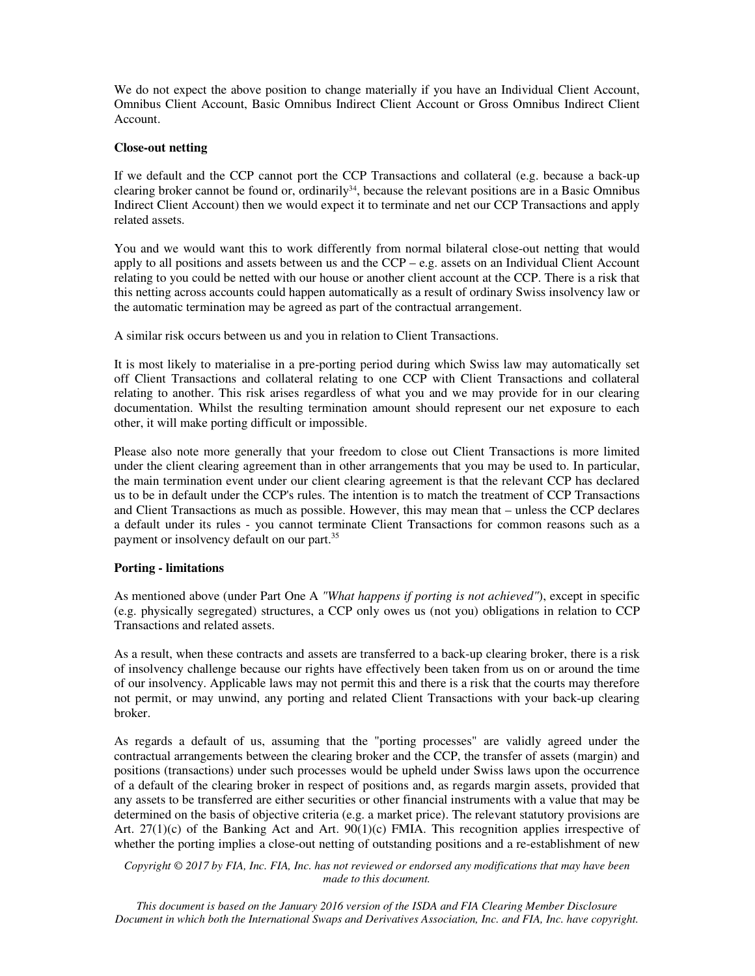We do not expect the above position to change materially if you have an Individual Client Account, Omnibus Client Account, Basic Omnibus Indirect Client Account or Gross Omnibus Indirect Client Account.

#### **Close-out netting**

If we default and the CCP cannot port the CCP Transactions and collateral (e.g. because a back-up clearing broker cannot be found or, ordinarily<sup>34</sup>, because the relevant positions are in a Basic Omnibus Indirect Client Account) then we would expect it to terminate and net our CCP Transactions and apply related assets.

You and we would want this to work differently from normal bilateral close-out netting that would apply to all positions and assets between us and the CCP – e.g. assets on an Individual Client Account relating to you could be netted with our house or another client account at the CCP. There is a risk that this netting across accounts could happen automatically as a result of ordinary Swiss insolvency law or the automatic termination may be agreed as part of the contractual arrangement.

A similar risk occurs between us and you in relation to Client Transactions.

It is most likely to materialise in a pre-porting period during which Swiss law may automatically set off Client Transactions and collateral relating to one CCP with Client Transactions and collateral relating to another. This risk arises regardless of what you and we may provide for in our clearing documentation. Whilst the resulting termination amount should represent our net exposure to each other, it will make porting difficult or impossible.

Please also note more generally that your freedom to close out Client Transactions is more limited under the client clearing agreement than in other arrangements that you may be used to. In particular, the main termination event under our client clearing agreement is that the relevant CCP has declared us to be in default under the CCP's rules. The intention is to match the treatment of CCP Transactions and Client Transactions as much as possible. However, this may mean that – unless the CCP declares a default under its rules - you cannot terminate Client Transactions for common reasons such as a payment or insolvency default on our part.<sup>35</sup>

## **Porting - limitations**

As mentioned above (under Part One A *"What happens if porting is not achieved"*), except in specific (e.g. physically segregated) structures, a CCP only owes us (not you) obligations in relation to CCP Transactions and related assets.

As a result, when these contracts and assets are transferred to a back-up clearing broker, there is a risk of insolvency challenge because our rights have effectively been taken from us on or around the time of our insolvency. Applicable laws may not permit this and there is a risk that the courts may therefore not permit, or may unwind, any porting and related Client Transactions with your back-up clearing broker.

As regards a default of us, assuming that the "porting processes" are validly agreed under the contractual arrangements between the clearing broker and the CCP, the transfer of assets (margin) and positions (transactions) under such processes would be upheld under Swiss laws upon the occurrence of a default of the clearing broker in respect of positions and, as regards margin assets, provided that any assets to be transferred are either securities or other financial instruments with a value that may be determined on the basis of objective criteria (e.g. a market price). The relevant statutory provisions are Art. 27(1)(c) of the Banking Act and Art. 90(1)(c) FMIA. This recognition applies irrespective of whether the porting implies a close-out netting of outstanding positions and a re-establishment of new

*Copyright © 2017 by FIA, Inc. FIA, Inc. has not reviewed or endorsed any modifications that may have been made to this document.*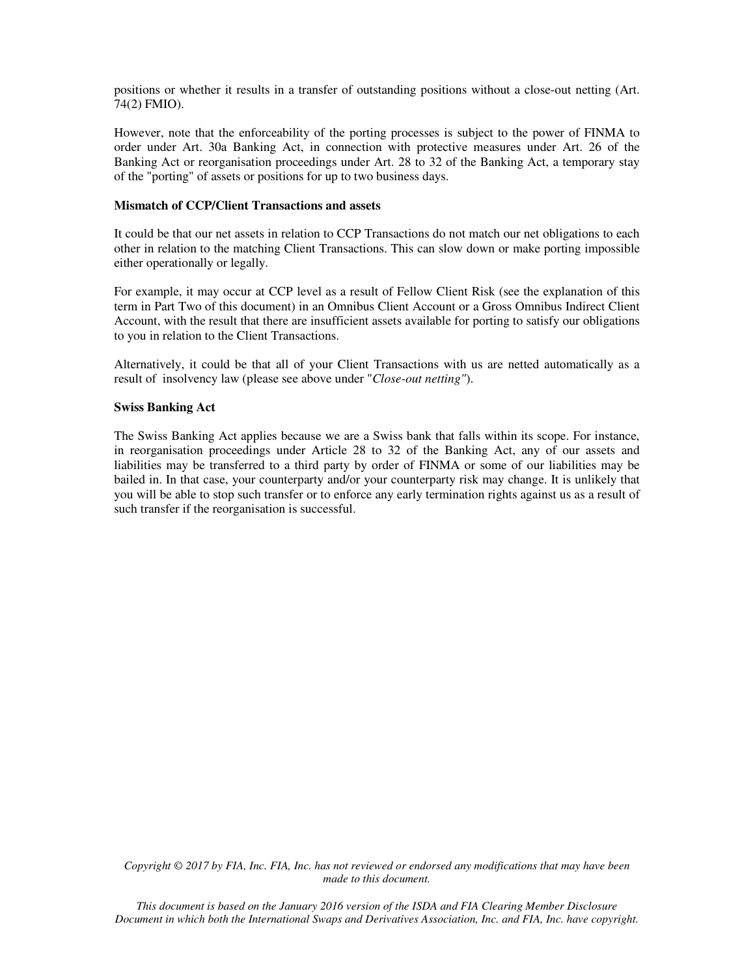positions or whether it results in a transfer of outstanding positions without a close-out netting (Art. 74(2) FMIO).

However, note that the enforceability of the porting processes is subject to the power of FINMA to order under Art. 30a Banking Act, in connection with protective measures under Art. 26 of the Banking Act or reorganisation proceedings under Art. 28 to 32 of the Banking Act, a temporary stay of the "porting" of assets or positions for up to two business days.

#### **Mismatch of CCP/Client Transactions and assets**

It could be that our net assets in relation to CCP Transactions do not match our net obligations to each other in relation to the matching Client Transactions. This can slow down or make porting impossible either operationally or legally.

For example, it may occur at CCP level as a result of Fellow Client Risk (see the explanation of this term in Part Two of this document) in an Omnibus Client Account or a Gross Omnibus Indirect Client Account, with the result that there are insufficient assets available for porting to satisfy our obligations to you in relation to the Client Transactions.

Alternatively, it could be that all of your Client Transactions with us are netted automatically as a result of insolvency law (please see above under "*Close-out netting"*).

## **Swiss Banking Act**

The Swiss Banking Act applies because we are a Swiss bank that falls within its scope. For instance, in reorganisation proceedings under Article 28 to 32 of the Banking Act, any of our assets and liabilities may be transferred to a third party by order of FINMA or some of our liabilities may be bailed in. In that case, your counterparty and/or your counterparty risk may change. It is unlikely that you will be able to stop such transfer or to enforce any early termination rights against us as a result of such transfer if the reorganisation is successful.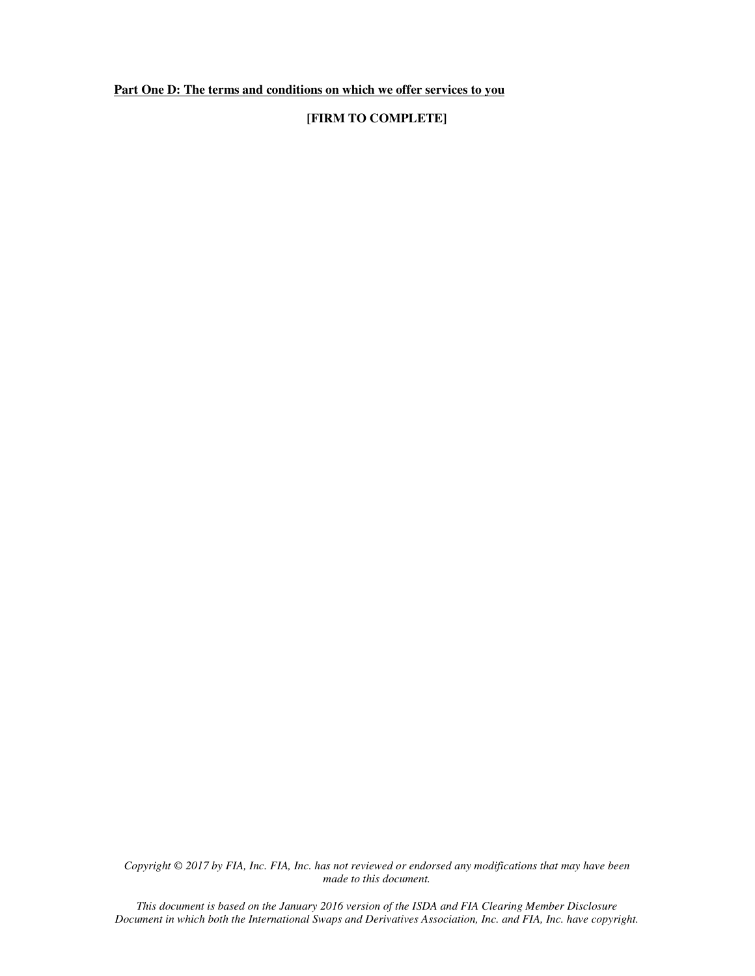**Part One D: The terms and conditions on which we offer services to you** 

# **[FIRM TO COMPLETE]**

*Copyright © 2017 by FIA, Inc. FIA, Inc. has not reviewed or endorsed any modifications that may have been made to this document.*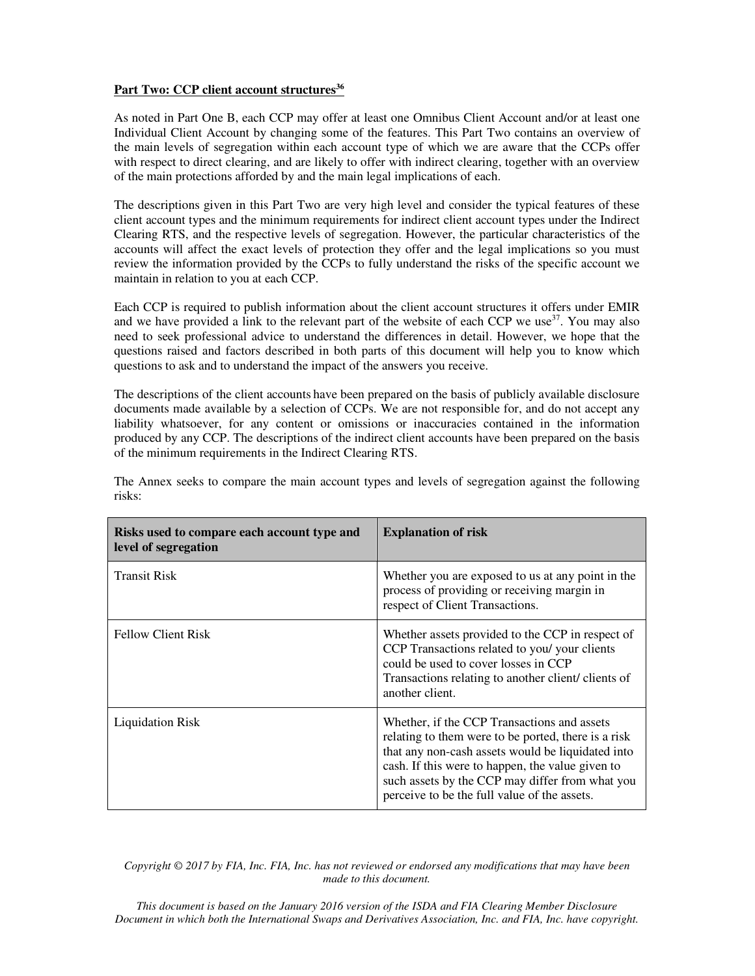## **Part Two: CCP client account structures<sup>36</sup>**

As noted in Part One B, each CCP may offer at least one Omnibus Client Account and/or at least one Individual Client Account by changing some of the features. This Part Two contains an overview of the main levels of segregation within each account type of which we are aware that the CCPs offer with respect to direct clearing, and are likely to offer with indirect clearing, together with an overview of the main protections afforded by and the main legal implications of each.

The descriptions given in this Part Two are very high level and consider the typical features of these client account types and the minimum requirements for indirect client account types under the Indirect Clearing RTS, and the respective levels of segregation. However, the particular characteristics of the accounts will affect the exact levels of protection they offer and the legal implications so you must review the information provided by the CCPs to fully understand the risks of the specific account we maintain in relation to you at each CCP.

Each CCP is required to publish information about the client account structures it offers under EMIR and we have provided a link to the relevant part of the website of each CCP we use<sup>37</sup>. You may also need to seek professional advice to understand the differences in detail. However, we hope that the questions raised and factors described in both parts of this document will help you to know which questions to ask and to understand the impact of the answers you receive.

The descriptions of the client accounts have been prepared on the basis of publicly available disclosure documents made available by a selection of CCPs. We are not responsible for, and do not accept any liability whatsoever, for any content or omissions or inaccuracies contained in the information produced by any CCP. The descriptions of the indirect client accounts have been prepared on the basis of the minimum requirements in the Indirect Clearing RTS.

| Risks used to compare each account type and<br>level of segregation | <b>Explanation of risk</b>                                                                                                                                                                                                                                                                                     |
|---------------------------------------------------------------------|----------------------------------------------------------------------------------------------------------------------------------------------------------------------------------------------------------------------------------------------------------------------------------------------------------------|
| <b>Transit Risk</b>                                                 | Whether you are exposed to us at any point in the<br>process of providing or receiving margin in<br>respect of Client Transactions.                                                                                                                                                                            |
| <b>Fellow Client Risk</b>                                           | Whether assets provided to the CCP in respect of<br>CCP Transactions related to you/ your clients<br>could be used to cover losses in CCP<br>Transactions relating to another client/ clients of<br>another client.                                                                                            |
| <b>Liquidation Risk</b>                                             | Whether, if the CCP Transactions and assets<br>relating to them were to be ported, there is a risk<br>that any non-cash assets would be liquidated into<br>cash. If this were to happen, the value given to<br>such assets by the CCP may differ from what you<br>perceive to be the full value of the assets. |

The Annex seeks to compare the main account types and levels of segregation against the following risks:

*Copyright © 2017 by FIA, Inc. FIA, Inc. has not reviewed or endorsed any modifications that may have been made to this document.*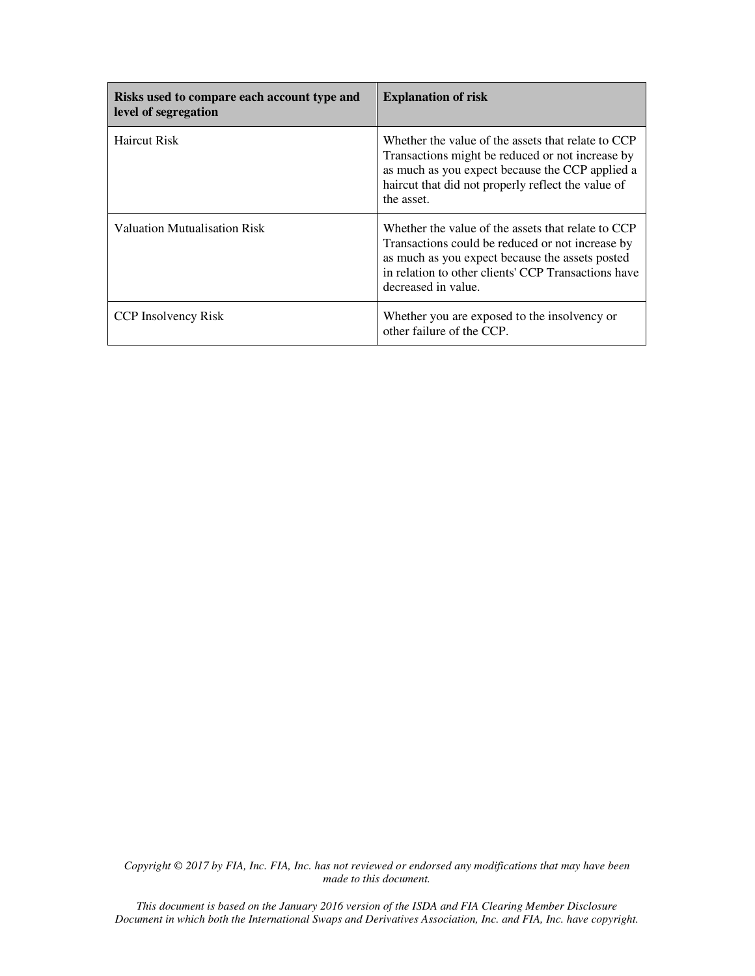| Risks used to compare each account type and<br>level of segregation | <b>Explanation of risk</b>                                                                                                                                                                                                              |
|---------------------------------------------------------------------|-----------------------------------------------------------------------------------------------------------------------------------------------------------------------------------------------------------------------------------------|
| <b>Haircut Risk</b>                                                 | Whether the value of the assets that relate to CCP<br>Transactions might be reduced or not increase by<br>as much as you expect because the CCP applied a<br>haircut that did not properly reflect the value of<br>the asset.           |
| Valuation Mutualisation Risk                                        | Whether the value of the assets that relate to CCP<br>Transactions could be reduced or not increase by<br>as much as you expect because the assets posted<br>in relation to other clients' CCP Transactions have<br>decreased in value. |
| <b>CCP</b> Insolvency Risk                                          | Whether you are exposed to the insolvency or<br>other failure of the CCP.                                                                                                                                                               |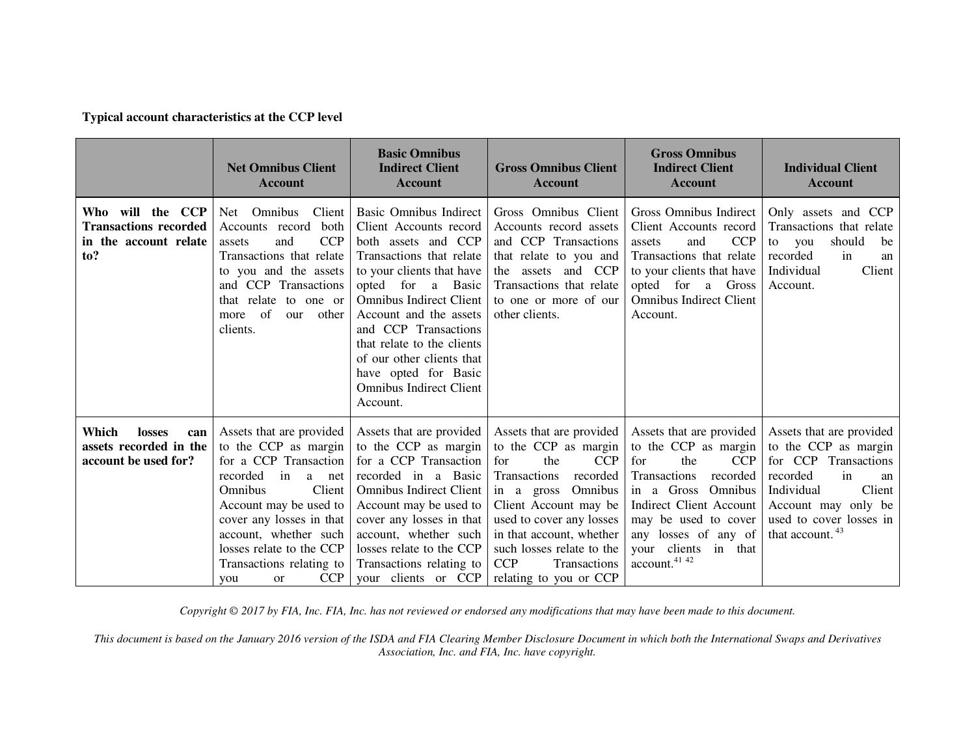# **Typical account characteristics at the CCP level**

|                                                                                  | <b>Net Omnibus Client</b><br><b>Account</b>                                                                                                                                                                                                                                                                       | <b>Basic Omnibus</b><br><b>Indirect Client</b><br><b>Account</b>                                                                                                                                                                                                                                                                                                           | <b>Gross Omnibus Client</b><br><b>Account</b>                                                                                                                                                                                                                                                                            | <b>Gross Omnibus</b><br><b>Indirect Client</b><br>Account                                                                                                                                                                                                             | <b>Individual Client</b><br><b>Account</b>                                                                                                                                                                |
|----------------------------------------------------------------------------------|-------------------------------------------------------------------------------------------------------------------------------------------------------------------------------------------------------------------------------------------------------------------------------------------------------------------|----------------------------------------------------------------------------------------------------------------------------------------------------------------------------------------------------------------------------------------------------------------------------------------------------------------------------------------------------------------------------|--------------------------------------------------------------------------------------------------------------------------------------------------------------------------------------------------------------------------------------------------------------------------------------------------------------------------|-----------------------------------------------------------------------------------------------------------------------------------------------------------------------------------------------------------------------------------------------------------------------|-----------------------------------------------------------------------------------------------------------------------------------------------------------------------------------------------------------|
| Who will the CCP<br><b>Transactions recorded</b><br>in the account relate<br>to? | Net Omnibus<br>Client<br>Accounts record<br>both<br><b>CCP</b><br>and<br>assets<br>Transactions that relate<br>to you and the assets<br>and CCP Transactions<br>that relate to one or<br>more of<br>our other<br>clients.                                                                                         | Basic Omnibus Indirect<br>Client Accounts record<br>both assets and CCP<br>Transactions that relate<br>to your clients that have<br>opted for a Basic<br><b>Omnibus Indirect Client</b><br>Account and the assets<br>and CCP Transactions<br>that relate to the clients<br>of our other clients that<br>have opted for Basic<br><b>Omnibus Indirect Client</b><br>Account. | Gross Omnibus Client<br>Accounts record assets<br>and CCP Transactions<br>that relate to you and<br>the assets and CCP<br>Transactions that relate<br>to one or more of our<br>other clients.                                                                                                                            | Gross Omnibus Indirect<br>Client Accounts record<br><b>CCP</b><br>and<br>assets<br>Transactions that relate<br>to your clients that have<br>opted for a Gross<br><b>Omnibus Indirect Client</b><br>Account.                                                           | Only assets and CCP<br>Transactions that relate<br>should<br>to<br>you<br>be<br>recorded<br>in<br>an<br>Client<br>Individual<br>Account.                                                                  |
| Which<br>losses<br>can<br>assets recorded in the<br>account be used for?         | Assets that are provided<br>to the CCP as margin<br>for a CCP Transaction<br>recorded<br>$\mathbf{in}$<br>a net<br>Client<br>Omnibus<br>Account may be used to<br>cover any losses in that<br>account, whether such<br>losses relate to the CCP<br>Transactions relating to<br><b>CCP</b><br><sub>or</sub><br>you | Assets that are provided<br>to the CCP as margin<br>for a CCP Transaction<br>recorded in a Basic<br><b>Omnibus Indirect Client</b><br>Account may be used to<br>cover any losses in that<br>account, whether such<br>losses relate to the CCP<br>Transactions relating to                                                                                                  | Assets that are provided<br>to the CCP as margin<br><b>CCP</b><br>for<br>the<br>Transactions<br>recorded<br>in a gross Omnibus<br>Client Account may be<br>used to cover any losses<br>in that account, whether<br>such losses relate to the<br><b>CCP</b><br>Transactions<br>your clients or CCP relating to you or CCP | Assets that are provided<br>to the CCP as margin<br>the<br><b>CCP</b><br>for<br><b>Transactions</b><br>recorded<br>in a Gross Omnibus<br>Indirect Client Account<br>may be used to cover<br>any losses of any of<br>your clients in that<br>account. <sup>41 42</sup> | Assets that are provided<br>to the CCP as margin<br>for CCP Transactions<br>recorded<br>in<br>an<br>Individual<br>Client<br>Account may only be<br>used to cover losses in<br>that account. <sup>43</sup> |

*Copyright © 2017 by FIA, Inc. FIA, Inc. has not reviewed or endorsed any modifications that may have been made to this document.*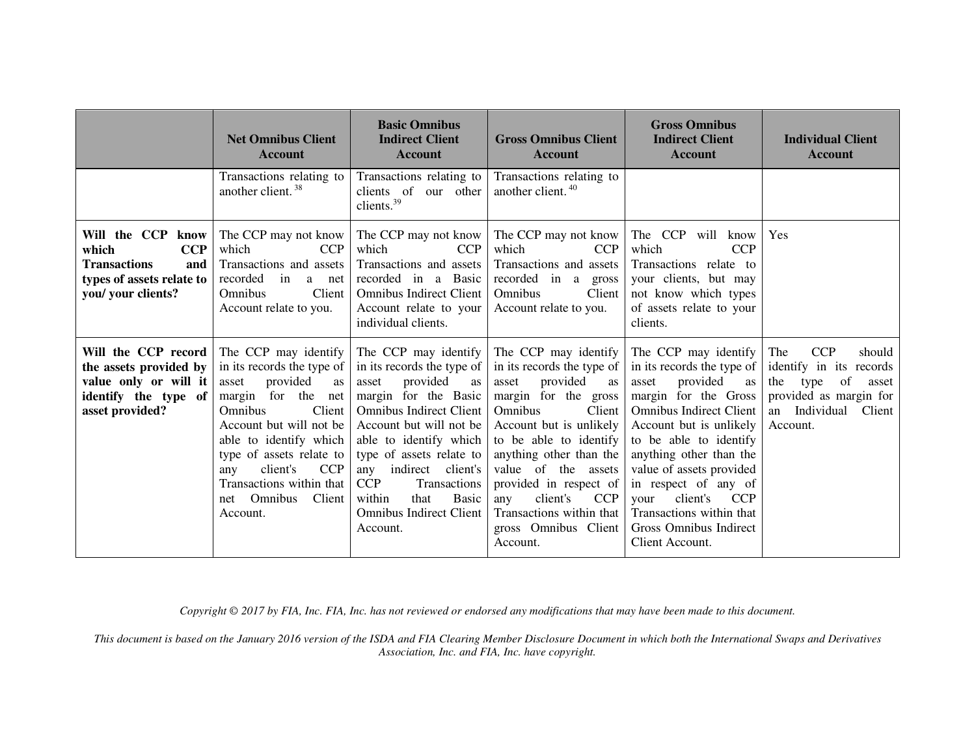|                                                                                                                           | <b>Net Omnibus Client</b><br><b>Account</b>                                                                                                                                                                                                                                                                              | <b>Basic Omnibus</b><br><b>Indirect Client</b><br><b>Account</b>                                                                                                                                                                                                                                                                                                       | <b>Gross Omnibus Client</b><br><b>Account</b>                                                                                                                                                                                                                                                                                                                | <b>Gross Omnibus</b><br><b>Indirect Client</b><br><b>Account</b>                                                                                                                                                                                                                                                                                                                       | <b>Individual Client</b><br><b>Account</b>                                                                                                            |
|---------------------------------------------------------------------------------------------------------------------------|--------------------------------------------------------------------------------------------------------------------------------------------------------------------------------------------------------------------------------------------------------------------------------------------------------------------------|------------------------------------------------------------------------------------------------------------------------------------------------------------------------------------------------------------------------------------------------------------------------------------------------------------------------------------------------------------------------|--------------------------------------------------------------------------------------------------------------------------------------------------------------------------------------------------------------------------------------------------------------------------------------------------------------------------------------------------------------|----------------------------------------------------------------------------------------------------------------------------------------------------------------------------------------------------------------------------------------------------------------------------------------------------------------------------------------------------------------------------------------|-------------------------------------------------------------------------------------------------------------------------------------------------------|
|                                                                                                                           | Transactions relating to<br>another client. <sup>38</sup>                                                                                                                                                                                                                                                                | Transactions relating to<br>clients of our other<br>clients. <sup>39</sup>                                                                                                                                                                                                                                                                                             | Transactions relating to<br>another client. <sup>40</sup>                                                                                                                                                                                                                                                                                                    |                                                                                                                                                                                                                                                                                                                                                                                        |                                                                                                                                                       |
| Will the CCP know<br>which<br><b>CCP</b><br><b>Transactions</b><br>and<br>types of assets relate to<br>you/ your clients? | The CCP may not know<br>which<br><b>CCP</b><br>Transactions and assets<br>recorded<br>in<br>a net<br>Client<br><b>Omnibus</b><br>Account relate to you.                                                                                                                                                                  | The CCP may not know<br>which<br><b>CCP</b><br>Transactions and assets<br>recorded in a Basic<br><b>Omnibus Indirect Client</b><br>Account relate to your<br>individual clients.                                                                                                                                                                                       | The CCP may not know<br>which<br><b>CCP</b><br>Transactions and assets<br>recorded in a gross<br>Omnibus<br>Client<br>Account relate to you.                                                                                                                                                                                                                 | The CCP<br>will know<br>which<br><b>CCP</b><br>Transactions relate to<br>your clients, but may<br>not know which types<br>of assets relate to your<br>clients.                                                                                                                                                                                                                         | Yes                                                                                                                                                   |
| Will the CCP record<br>the assets provided by<br>value only or will it<br>identify the type of<br>asset provided?         | The CCP may identify<br>in its records the type of<br>provided<br>asset<br>as<br>for the<br>margin<br>net<br>Client<br><b>Omnibus</b><br>Account but will not be<br>able to identify which<br>type of assets relate to<br>client's<br><b>CCP</b><br>any<br>Transactions within that<br>Client<br>net Omnibus<br>Account. | The CCP may identify<br>in its records the type of<br>provided<br>asset<br><b>as</b><br>margin for the Basic<br><b>Omnibus Indirect Client</b><br>Account but will not be<br>able to identify which<br>type of assets relate to<br>any indirect client's<br><b>CCP</b><br>Transactions<br>within<br><b>Basic</b><br>that<br><b>Omnibus Indirect Client</b><br>Account. | The CCP may identify<br>in its records the type of<br>provided<br>asset<br>as<br>margin for the gross<br>Omnibus<br>Client<br>Account but is unlikely<br>to be able to identify<br>anything other than the<br>value of the assets<br>provided in respect of<br>client's<br><b>CCP</b><br>any<br>Transactions within that<br>gross Omnibus Client<br>Account. | The CCP may identify<br>in its records the type of<br>provided<br>asset<br>as<br>margin for the Gross<br><b>Omnibus Indirect Client</b><br>Account but is unlikely<br>to be able to identify<br>anything other than the<br>value of assets provided<br>in respect of any of<br>client's<br>your<br><b>CCP</b><br>Transactions within that<br>Gross Omnibus Indirect<br>Client Account. | The<br><b>CCP</b><br>should<br>identify in its records<br>the<br>of<br>type<br>asset<br>provided as margin for<br>an Individual<br>Client<br>Account. |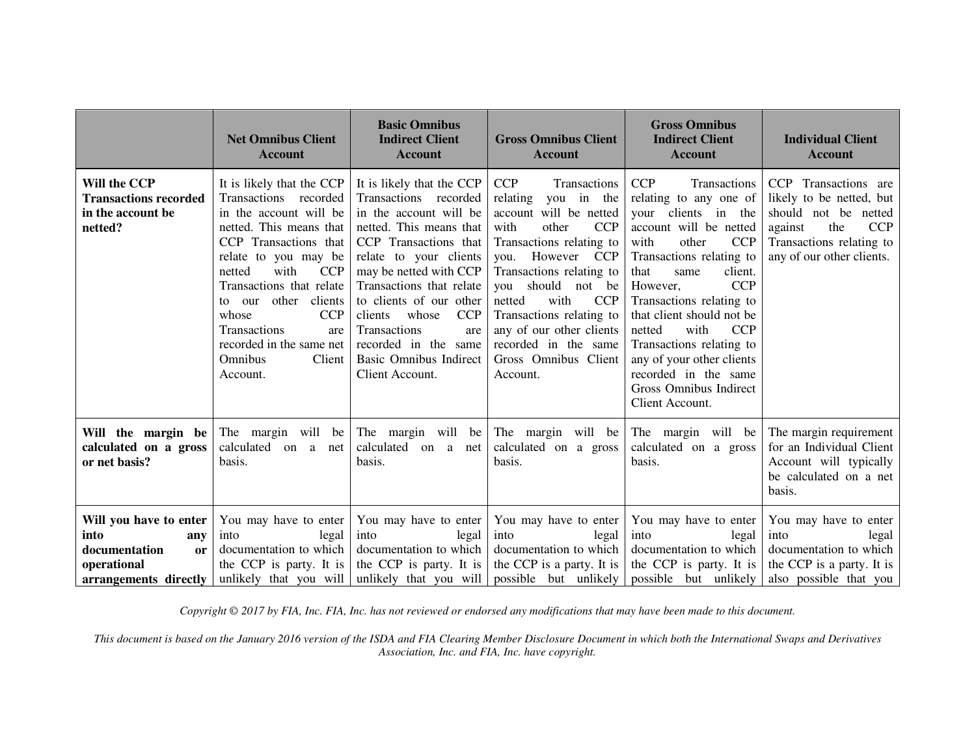|                                                                                                             | <b>Net Omnibus Client</b><br><b>Account</b>                                                                                                                                                                                                                                                                                                            | <b>Basic Omnibus</b><br><b>Indirect Client</b><br><b>Account</b>                                                                                                                                                                                                                                                                                                                 | <b>Gross Omnibus Client</b><br><b>Account</b>                                                                                                                                                                                                                                                                                                                      | <b>Gross Omnibus</b><br><b>Indirect Client</b><br><b>Account</b>                                                                                                                                                                                                                                                                                                                                                                             | <b>Individual Client</b><br><b>Account</b>                                                                                                                        |
|-------------------------------------------------------------------------------------------------------------|--------------------------------------------------------------------------------------------------------------------------------------------------------------------------------------------------------------------------------------------------------------------------------------------------------------------------------------------------------|----------------------------------------------------------------------------------------------------------------------------------------------------------------------------------------------------------------------------------------------------------------------------------------------------------------------------------------------------------------------------------|--------------------------------------------------------------------------------------------------------------------------------------------------------------------------------------------------------------------------------------------------------------------------------------------------------------------------------------------------------------------|----------------------------------------------------------------------------------------------------------------------------------------------------------------------------------------------------------------------------------------------------------------------------------------------------------------------------------------------------------------------------------------------------------------------------------------------|-------------------------------------------------------------------------------------------------------------------------------------------------------------------|
| Will the CCP<br><b>Transactions recorded</b><br>in the account be<br>netted?                                | It is likely that the CCP<br>Transactions recorded<br>in the account will be<br>netted. This means that<br>CCP Transactions that<br>relate to you may be<br>with<br><b>CCP</b><br>netted<br>Transactions that relate<br>other<br>clients<br>to our<br>CCP<br>whose<br>Transactions<br>are<br>recorded in the same net<br>Omnibus<br>Client<br>Account. | It is likely that the CCP<br>Transactions recorded<br>in the account will be<br>netted. This means that<br>CCP Transactions that<br>relate to your clients<br>may be netted with CCP<br>Transactions that relate<br>to clients of our other<br>whose<br><b>CCP</b><br>clients<br>Transactions<br>are<br>recorded in the same<br><b>Basic Omnibus Indirect</b><br>Client Account. | <b>CCP</b><br>Transactions<br>relating you in the<br>account will be netted<br>with<br>other<br><b>CCP</b><br>Transactions relating to<br>you. However CCP<br>Transactions relating to<br>you should<br>not be<br>with<br><b>CCP</b><br>netted<br>Transactions relating to<br>any of our other clients<br>recorded in the same<br>Gross Omnibus Client<br>Account. | <b>CCP</b><br>Transactions<br>relating to any one of<br>your clients in the<br>account will be netted<br>other<br><b>CCP</b><br>with<br>Transactions relating to<br>that<br>client.<br>same<br><b>CCP</b><br>However,<br>Transactions relating to<br>that client should not be<br>with<br><b>CCP</b><br>netted<br>Transactions relating to<br>any of your other clients<br>recorded in the same<br>Gross Omnibus Indirect<br>Client Account. | CCP Transactions are<br>likely to be netted, but<br>should not be netted<br><b>CCP</b><br>against<br>the<br>Transactions relating to<br>any of our other clients. |
| Will the margin be<br>calculated on a gross<br>or net basis?                                                | The margin will be<br>calculated on a<br>net<br>basis.                                                                                                                                                                                                                                                                                                 | The margin will be<br>calculated on a net<br>basis.                                                                                                                                                                                                                                                                                                                              | The margin will be<br>calculated on a gross<br>basis.                                                                                                                                                                                                                                                                                                              | The margin will be<br>calculated on a gross<br>basis.                                                                                                                                                                                                                                                                                                                                                                                        | The margin requirement<br>for an Individual Client<br>Account will typically<br>be calculated on a net<br>basis.                                                  |
| Will you have to enter<br>into<br>any<br>documentation<br><b>or</b><br>operational<br>arrangements directly | You may have to enter<br>into<br>legal<br>documentation to which<br>the CCP is party. It is<br>unlikely that you will                                                                                                                                                                                                                                  | You may have to enter<br>into<br>legal<br>documentation to which<br>the CCP is party. It is                                                                                                                                                                                                                                                                                      | You may have to enter<br>into<br>legal<br>documentation to which<br>the CCP is a party. It is<br>unlikely that you will possible but unlikely                                                                                                                                                                                                                      | You may have to enter<br>into<br>legal<br>documentation to which<br>the CCP is party. It is<br>possible but unlikely                                                                                                                                                                                                                                                                                                                         | You may have to enter<br>into<br>legal<br>documentation to which<br>the CCP is a party. It is<br>also possible that you                                           |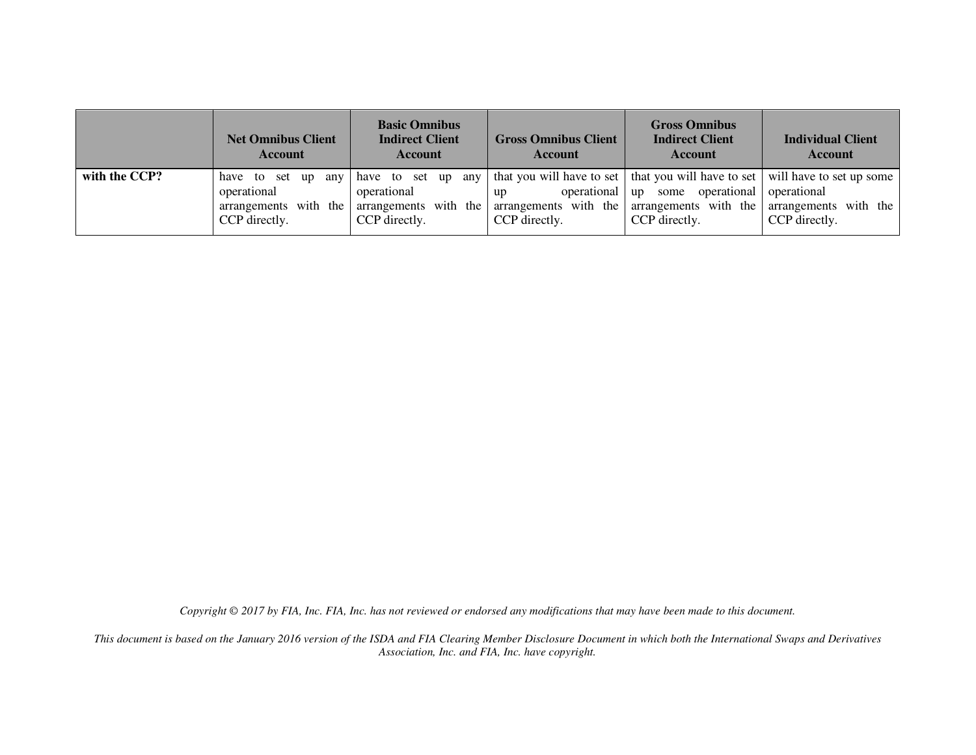|               | <b>Net Omnibus Client</b><br><b>Account</b>           | <b>Basic Omnibus</b><br><b>Indirect Client</b><br>Account | <b>Gross Omnibus Client</b><br>Account | <b>Gross Omnibus</b><br><b>Indirect Client</b><br>Account                                                                                                                                                                                                                        | <b>Individual Client</b><br><b>Account</b> |
|---------------|-------------------------------------------------------|-----------------------------------------------------------|----------------------------------------|----------------------------------------------------------------------------------------------------------------------------------------------------------------------------------------------------------------------------------------------------------------------------------|--------------------------------------------|
| with the CCP? | have to set up<br>any<br>operational<br>CCP directly. | operational<br>CCP directly.                              | up<br>CCP directly.                    | have to set up any that you will have to set that you will have to set will have to set up some<br>operational up some operational operational<br>arrangements with the arrangements with the arrangements with the arrangements with the arrangements with the<br>CCP directly. | CCP directly.                              |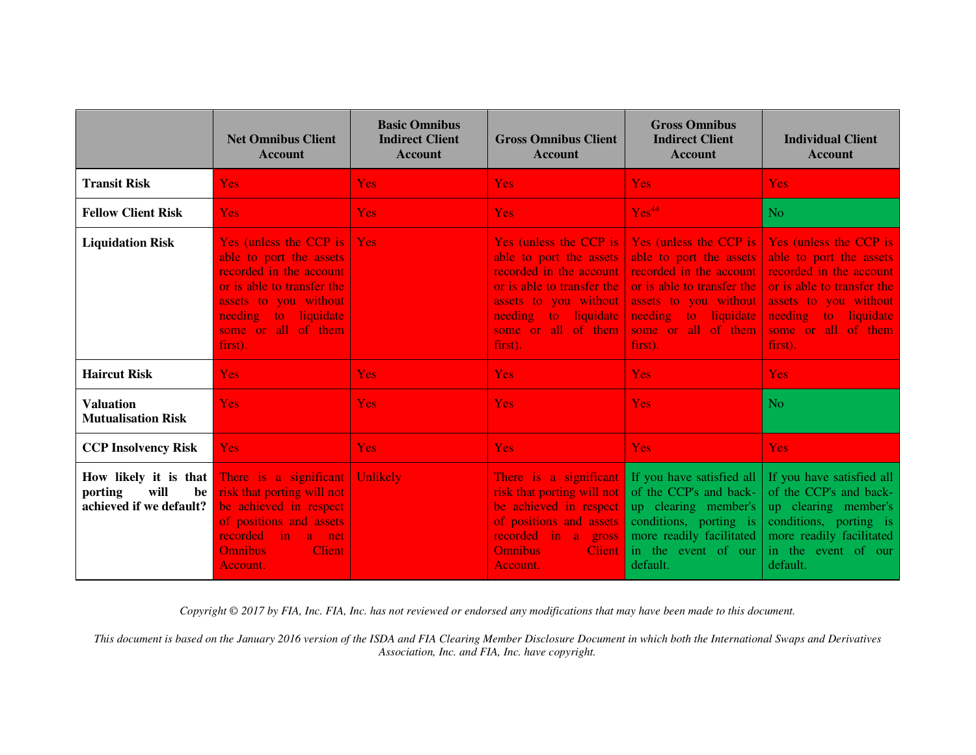|                                                                           | <b>Net Omnibus Client</b><br><b>Account</b>                                                                                                                                                            | <b>Basic Omnibus</b><br><b>Indirect Client</b><br><b>Account</b> | <b>Gross Omnibus Client</b><br><b>Account</b>                                                                                                                                                   | <b>Gross Omnibus</b><br><b>Indirect Client</b><br><b>Account</b>                                                                                                                              | <b>Individual Client</b><br><b>Account</b>                                                                                                                                                    |
|---------------------------------------------------------------------------|--------------------------------------------------------------------------------------------------------------------------------------------------------------------------------------------------------|------------------------------------------------------------------|-------------------------------------------------------------------------------------------------------------------------------------------------------------------------------------------------|-----------------------------------------------------------------------------------------------------------------------------------------------------------------------------------------------|-----------------------------------------------------------------------------------------------------------------------------------------------------------------------------------------------|
| <b>Transit Risk</b>                                                       | <b>Yes</b>                                                                                                                                                                                             | <b>Yes</b>                                                       | <b>Yes</b>                                                                                                                                                                                      | <b>Yes</b>                                                                                                                                                                                    | <b>Yes</b>                                                                                                                                                                                    |
| <b>Fellow Client Risk</b>                                                 | <b>Yes</b>                                                                                                                                                                                             | <b>Yes</b>                                                       | <b>Yes</b>                                                                                                                                                                                      | Yes <sup>44</sup>                                                                                                                                                                             | N <sub>o</sub>                                                                                                                                                                                |
| <b>Liquidation Risk</b>                                                   | <b>Yes (unless the CCP is  </b><br>able to port the assets<br>recorded in the account<br>or is able to transfer the<br>assets to you without<br>needing to liquidate<br>some or all of them<br>first). | Yes                                                              | Yes (unless the CCP is  <br>able to port the assets<br>recorded in the account<br>or is able to transfer the<br>assets to you without<br>needing to liquidate<br>some or all of them<br>first). | Yes (unless the CCP is<br>able to port the assets<br>recorded in the account<br>or is able to transfer the<br>assets to you without<br>needing to liquidate<br>some or all of them<br>first). | Yes (unless the CCP is<br>able to port the assets<br>recorded in the account<br>or is able to transfer the<br>assets to you without<br>needing to liquidate<br>some or all of them<br>first). |
| <b>Haircut Risk</b>                                                       | <b>Yes</b>                                                                                                                                                                                             | <b>Yes</b>                                                       | <b>Yes</b>                                                                                                                                                                                      | <b>Yes</b>                                                                                                                                                                                    | <b>Yes</b>                                                                                                                                                                                    |
| <b>Valuation</b><br><b>Mutualisation Risk</b>                             | <b>Yes</b>                                                                                                                                                                                             | <b>Yes</b>                                                       | <b>Yes</b>                                                                                                                                                                                      | Yes                                                                                                                                                                                           | N <sub>o</sub>                                                                                                                                                                                |
| <b>CCP Insolvency Risk</b>                                                | <b>Yes</b>                                                                                                                                                                                             | <b>Yes</b>                                                       | <b>Yes</b>                                                                                                                                                                                      | <b>Yes</b>                                                                                                                                                                                    | <b>Yes</b>                                                                                                                                                                                    |
| How likely it is that<br>will<br>porting<br>be<br>achieved if we default? | There is a significant<br>risk that porting will not<br>be achieved in respect<br>of positions and assets<br>recorded<br>in a net<br><b>Omnibus</b><br><b>Client</b><br>Account.                       | Unlikely                                                         | There is a significant<br>risk that porting will not<br>be achieved in respect<br>of positions and assets<br>recorded in a gross<br><b>Omnibus</b><br><b>Client</b><br>Account.                 | If you have satisfied all<br>of the CCP's and back-<br>up clearing member's<br>conditions, porting is<br>more readily facilitated<br>in the event of our<br>default.                          | If you have satisfied all<br>of the CCP's and back-<br>up clearing member's<br>conditions, porting is<br>more readily facilitated<br>in the event of our<br>default.                          |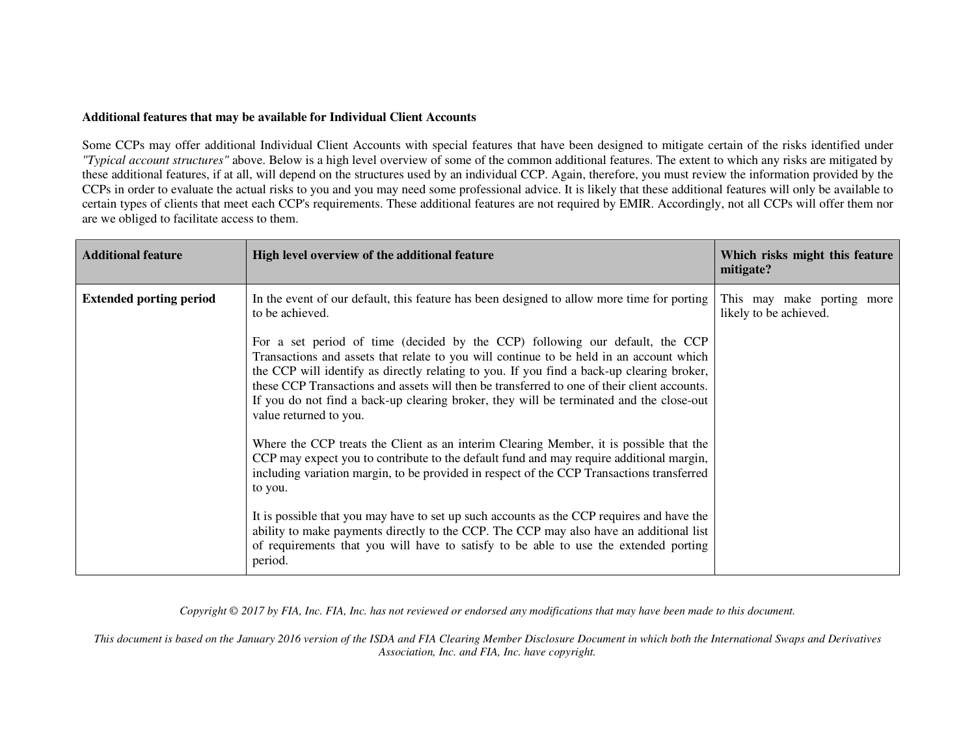#### **Additional features that may be available for Individual Client Accounts**

Some CCPs may offer additional Individual Client Accounts with special features that have been designed to mitigate certain of the risks identified under *"Typical account structures"* above. Below is a high level overview of some of the common additional features. The extent to which any risks are mitigated by these additional features, if at all, will depend on the structures used by an individual CCP. Again, therefore, you must review the information provided by the CCPs in order to evaluate the actual risks to you and you may need some professional advice. It is likely that these additional features will only be available to certain types of clients that meet each CCP's requirements. These additional features are not required by EMIR. Accordingly, not all CCPs will offer them nor are we obliged to facilitate access to them.

| <b>Additional feature</b>      | High level overview of the additional feature                                                                                                                                                                                                                                                                                                                                                                                                                                            | Which risks might this feature<br>mitigate?          |
|--------------------------------|------------------------------------------------------------------------------------------------------------------------------------------------------------------------------------------------------------------------------------------------------------------------------------------------------------------------------------------------------------------------------------------------------------------------------------------------------------------------------------------|------------------------------------------------------|
| <b>Extended porting period</b> | In the event of our default, this feature has been designed to allow more time for porting<br>to be achieved.                                                                                                                                                                                                                                                                                                                                                                            | This may make porting more<br>likely to be achieved. |
|                                | For a set period of time (decided by the CCP) following our default, the CCP<br>Transactions and assets that relate to you will continue to be held in an account which<br>the CCP will identify as directly relating to you. If you find a back-up clearing broker,<br>these CCP Transactions and assets will then be transferred to one of their client accounts.<br>If you do not find a back-up clearing broker, they will be terminated and the close-out<br>value returned to you. |                                                      |
|                                | Where the CCP treats the Client as an interim Clearing Member, it is possible that the<br>CCP may expect you to contribute to the default fund and may require additional margin,<br>including variation margin, to be provided in respect of the CCP Transactions transferred<br>to you.                                                                                                                                                                                                |                                                      |
|                                | It is possible that you may have to set up such accounts as the CCP requires and have the<br>ability to make payments directly to the CCP. The CCP may also have an additional list<br>of requirements that you will have to satisfy to be able to use the extended porting<br>period.                                                                                                                                                                                                   |                                                      |

*Copyright © 2017 by FIA, Inc. FIA, Inc. has not reviewed or endorsed any modifications that may have been made to this document.*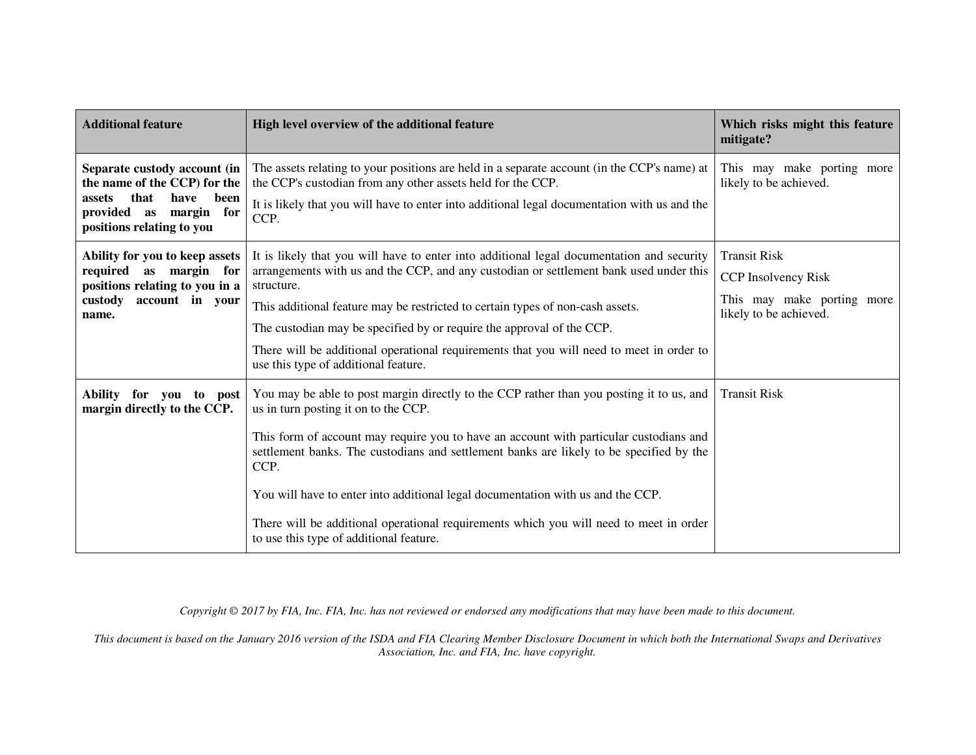| <b>Additional feature</b>                                                                                                                             | High level overview of the additional feature                                                                                                                                             | Which risks might this feature<br>mitigate?          |
|-------------------------------------------------------------------------------------------------------------------------------------------------------|-------------------------------------------------------------------------------------------------------------------------------------------------------------------------------------------|------------------------------------------------------|
| Separate custody account (in<br>the name of the CCP) for the<br>that<br>have<br>been<br>assets<br>provided as margin for<br>positions relating to you | The assets relating to your positions are held in a separate account (in the CCP's name) at<br>the CCP's custodian from any other assets held for the CCP.                                | This may make porting more<br>likely to be achieved. |
|                                                                                                                                                       | It is likely that you will have to enter into additional legal documentation with us and the<br>CCP.                                                                                      |                                                      |
| Ability for you to keep assets<br>required as margin for<br>positions relating to you in a<br>custody<br>account in your<br>name.                     | It is likely that you will have to enter into additional legal documentation and security                                                                                                 | <b>Transit Risk</b>                                  |
|                                                                                                                                                       | arrangements with us and the CCP, and any custodian or settlement bank used under this<br>structure.                                                                                      | CCP Insolvency Risk                                  |
|                                                                                                                                                       | This additional feature may be restricted to certain types of non-cash assets.                                                                                                            | This may make porting more<br>likely to be achieved. |
|                                                                                                                                                       | The custodian may be specified by or require the approval of the CCP.                                                                                                                     |                                                      |
|                                                                                                                                                       | There will be additional operational requirements that you will need to meet in order to<br>use this type of additional feature.                                                          |                                                      |
| <b>Ability</b><br>for<br>vou<br>to post<br>margin directly to the CCP.                                                                                | You may be able to post margin directly to the CCP rather than you posting it to us, and<br>us in turn posting it on to the CCP.                                                          | <b>Transit Risk</b>                                  |
|                                                                                                                                                       | This form of account may require you to have an account with particular custodians and<br>settlement banks. The custodians and settlement banks are likely to be specified by the<br>CCP. |                                                      |
|                                                                                                                                                       | You will have to enter into additional legal documentation with us and the CCP.                                                                                                           |                                                      |
|                                                                                                                                                       | There will be additional operational requirements which you will need to meet in order<br>to use this type of additional feature.                                                         |                                                      |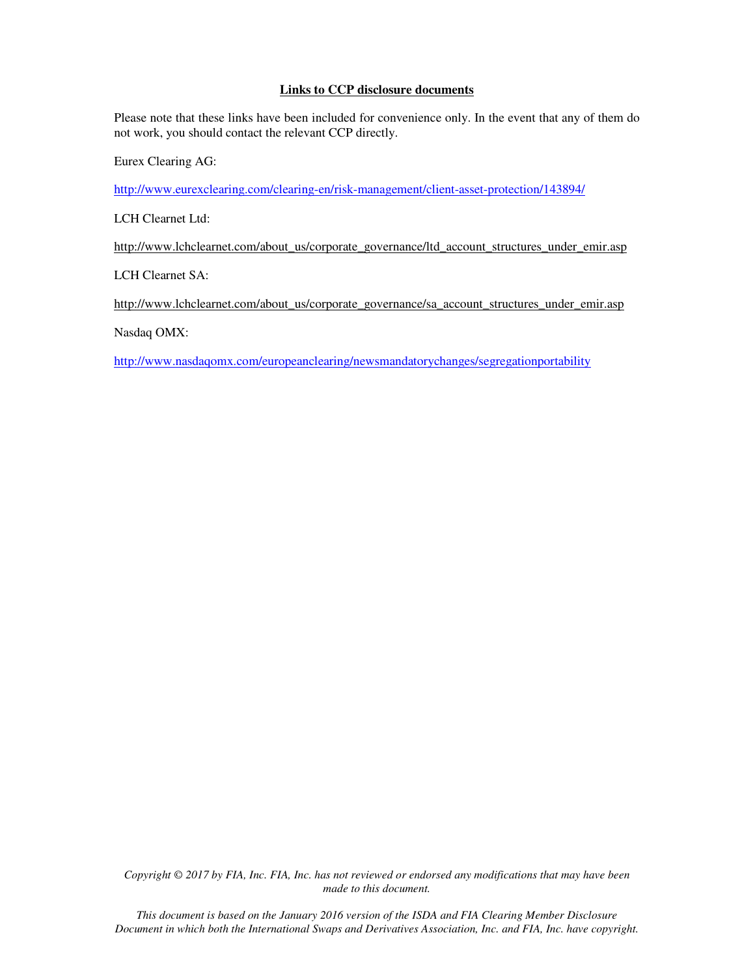# **Links to CCP disclosure documents**

Please note that these links have been included for convenience only. In the event that any of them do not work, you should contact the relevant CCP directly.

Eurex Clearing AG:

http://www.eurexclearing.com/clearing-en/risk-management/client-asset-protection/143894/

LCH Clearnet Ltd:

http://www.lchclearnet.com/about\_us/corporate\_governance/ltd\_account\_structures\_under\_emir.asp

LCH Clearnet SA:

http://www.lchclearnet.com/about\_us/corporate\_governance/sa\_account\_structures\_under\_emir.asp

Nasdaq OMX:

http://www.nasdaqomx.com/europeanclearing/newsmandatorychanges/segregationportability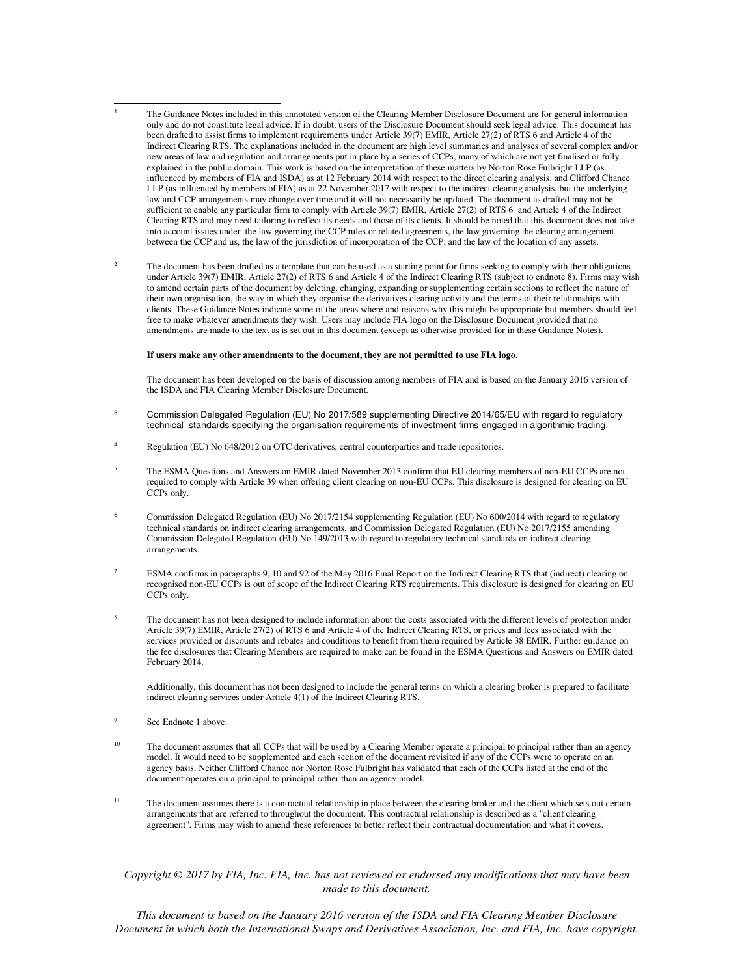- $\overline{\phantom{a}}$ 1 The Guidance Notes included in this annotated version of the Clearing Member Disclosure Document are for general information only and do not constitute legal advice. If in doubt, users of the Disclosure Document should seek legal advice. This document has been drafted to assist firms to implement requirements under Article 39(7) EMIR, Article 27(2) of RTS 6 and Article 4 of the Indirect Clearing RTS. The explanations included in the document are high level summaries and analyses of several complex and/or new areas of law and regulation and arrangements put in place by a series of CCPs, many of which are not yet finalised or fully explained in the public domain. This work is based on the interpretation of these matters by Norton Rose Fulbright LLP (as influenced by members of FIA and ISDA) as at 12 February 2014 with respect to the direct clearing analysis, and Clifford Chance LLP (as influenced by members of FIA) as at 22 November 2017 with respect to the indirect clearing analysis, but the underlying law and CCP arrangements may change over time and it will not necessarily be updated. The document as drafted may not be sufficient to enable any particular firm to comply with Article 39(7) EMIR, Article 27(2) of RTS 6 and Article 4 of the Indirect Clearing RTS and may need tailoring to reflect its needs and those of its clients. It should be noted that this document does not take into account issues under the law governing the CCP rules or related agreements, the law governing the clearing arrangement between the CCP and us, the law of the jurisdiction of incorporation of the CCP; and the law of the location of any assets.
- 2 The document has been drafted as a template that can be used as a starting point for firms seeking to comply with their obligations under Article 39(7) EMIR, Article 27(2) of RTS 6 and Article 4 of the Indirect Clearing RTS (subject to endnote 8). Firms may wish to amend certain parts of the document by deleting, changing, expanding or supplementing certain sections to reflect the nature of their own organisation, the way in which they organise the derivatives clearing activity and the terms of their relationships with clients. These Guidance Notes indicate some of the areas where and reasons why this might be appropriate but members should feel free to make whatever amendments they wish. Users may include FIA logo on the Disclosure Document provided that no amendments are made to the text as is set out in this document (except as otherwise provided for in these Guidance Notes).

#### **If users make any other amendments to the document, they are not permitted to use FIA logo.**

The document has been developed on the basis of discussion among members of FIA and is based on the January 2016 version of the ISDA and FIA Clearing Member Disclosure Document.

- 3 Commission Delegated Regulation (EU) No 2017/589 supplementing Directive 2014/65/EU with regard to regulatory technical standards specifying the organisation requirements of investment firms engaged in algorithmic trading.
- 4 Regulation (EU) No 648/2012 on OTC derivatives, central counterparties and trade repositories.
- 5 The ESMA Questions and Answers on EMIR dated November 2013 confirm that EU clearing members of non-EU CCPs are not required to comply with Article 39 when offering client clearing on non-EU CCPs. This disclosure is designed for clearing on EU  $CCPs$  only
- <sup>6</sup> Commission Delegated Regulation (EU) No 2017/2154 supplementing Regulation (EU) No 600/2014 with regard to regulatory technical standards on indirect clearing arrangements, and Commission Delegated Regulation (EU) No 2017/2155 amending Commission Delegated Regulation (EU) No 149/2013 with regard to regulatory technical standards on indirect clearing arrangements.
- 7 ESMA confirms in paragraphs 9, 10 and 92 of the May 2016 Final Report on the Indirect Clearing RTS that (indirect) clearing on recognised non-EU CCPs is out of scope of the Indirect Clearing RTS requirements. This disclosure is designed for clearing on EU CCPs only.
- 8 The document has not been designed to include information about the costs associated with the different levels of protection under Article 39(7) EMIR, Article 27(2) of RTS 6 and Article 4 of the Indirect Clearing RTS, or prices and fees associated with the services provided or discounts and rebates and conditions to benefit from them required by Article 38 EMIR. Further guidance on the fee disclosures that Clearing Members are required to make can be found in the ESMA Questions and Answers on EMIR dated February 2014.

Additionally, this document has not been designed to include the general terms on which a clearing broker is prepared to facilitate indirect clearing services under Article 4(1) of the Indirect Clearing RTS.

- 9 See Endnote 1 above.
- <sup>10</sup> The document assumes that all CCPs that will be used by a Clearing Member operate a principal to principal rather than an agency model. It would need to be supplemented and each section of the document revisited if any of the CCPs were to operate on an agency basis. Neither Clifford Chance nor Norton Rose Fulbright has validated that each of the CCPs listed at the end of the document operates on a principal to principal rather than an agency model.
- <sup>11</sup> The document assumes there is a contractual relationship in place between the clearing broker and the client which sets out certain arrangements that are referred to throughout the document. This contractual relationship is described as a "client clearing agreement". Firms may wish to amend these references to better reflect their contractual documentation and what it covers.

#### *Copyright © 2017 by FIA, Inc. FIA, Inc. has not reviewed or endorsed any modifications that may have been made to this document.*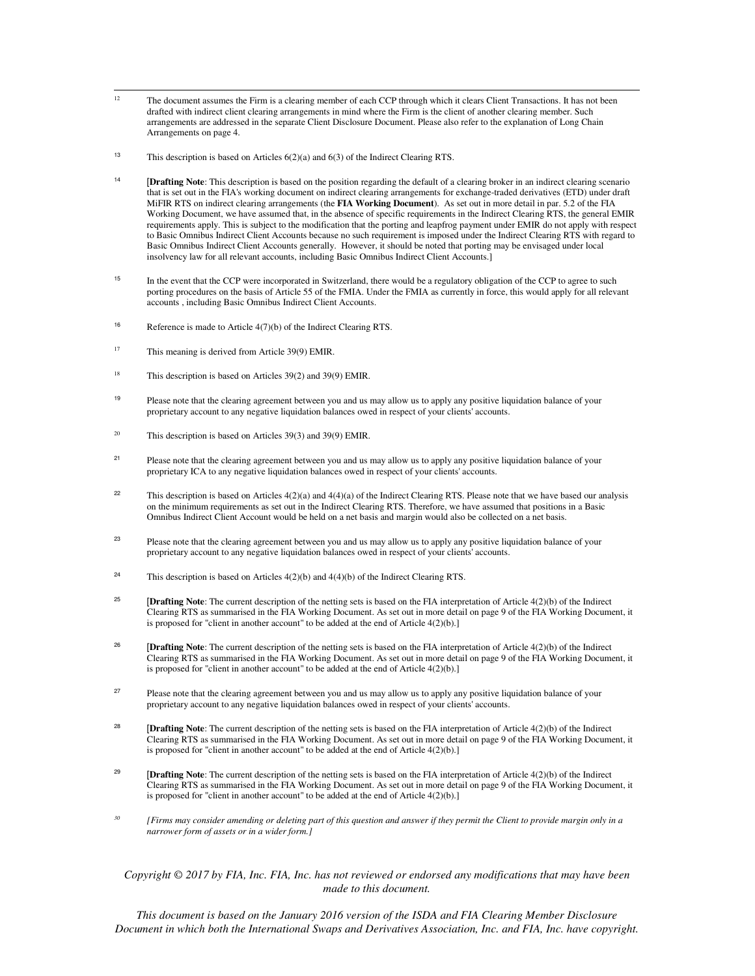- $12$ The document assumes the Firm is a clearing member of each CCP through which it clears Client Transactions. It has not been drafted with indirect client clearing arrangements in mind where the Firm is the client of another clearing member. Such arrangements are addressed in the separate Client Disclosure Document. Please also refer to the explanation of Long Chain Arrangements on page 4.
- <sup>13</sup> This description is based on Articles 6(2)(a) and 6(3) of the Indirect Clearing RTS.
- <sup>14</sup> [Drafting Note: This description is based on the position regarding the default of a clearing broker in an indirect clearing scenario that is set out in the FIA's working document on indirect clearing arrangements for exchange-traded derivatives (ETD) under draft MiFIR RTS on indirect clearing arrangements (the **FIA Working Document**). As set out in more detail in par. 5.2 of the FIA Working Document, we have assumed that, in the absence of specific requirements in the Indirect Clearing RTS, the general EMIR requirements apply. This is subject to the modification that the porting and leapfrog payment under EMIR do not apply with respect to Basic Omnibus Indirect Client Accounts because no such requirement is imposed under the Indirect Clearing RTS with regard to Basic Omnibus Indirect Client Accounts generally. However, it should be noted that porting may be envisaged under local insolvency law for all relevant accounts, including Basic Omnibus Indirect Client Accounts.]
- <sup>15</sup> In the event that the CCP were incorporated in Switzerland, there would be a regulatory obligation of the CCP to agree to such porting procedures on the basis of Article 55 of the FMIA. Under the FMIA as currently in force, this would apply for all relevant accounts , including Basic Omnibus Indirect Client Accounts.
- <sup>16</sup> Reference is made to Article  $4(7)(b)$  of the Indirect Clearing RTS.
- <sup>17</sup> This meaning is derived from Article 39(9) EMIR.
- <sup>18</sup> This description is based on Articles 39(2) and 39(9) EMIR.
- 19 Please note that the clearing agreement between you and us may allow us to apply any positive liquidation balance of your proprietary account to any negative liquidation balances owed in respect of your clients' accounts.
- <sup>20</sup> This description is based on Articles  $39(3)$  and  $39(9)$  EMIR.
- 21 Please note that the clearing agreement between you and us may allow us to apply any positive liquidation balance of your proprietary ICA to any negative liquidation balances owed in respect of your clients' accounts.
- <sup>22</sup> This description is based on Articles  $4(2)(a)$  and  $4(4)(a)$  of the Indirect Clearing RTS. Please note that we have based our analysis on the minimum requirements as set out in the Indirect Clearing RTS. Therefore, we have assumed that positions in a Basic Omnibus Indirect Client Account would be held on a net basis and margin would also be collected on a net basis.
- 23 Please note that the clearing agreement between you and us may allow us to apply any positive liquidation balance of your proprietary account to any negative liquidation balances owed in respect of your clients' accounts.
- <sup>24</sup> This description is based on Articles  $4(2)(b)$  and  $4(4)(b)$  of the Indirect Clearing RTS.
- <sup>25</sup> [Drafting Note: The current description of the netting sets is based on the FIA interpretation of Article 4(2)(b) of the Indirect Clearing RTS as summarised in the FIA Working Document. As set out in more detail on page 9 of the FIA Working Document, it is proposed for "client in another account" to be added at the end of Article 4(2)(b).]
- <sup>26</sup> [Drafting Note: The current description of the netting sets is based on the FIA interpretation of Article 4(2)(b) of the Indirect Clearing RTS as summarised in the FIA Working Document. As set out in more detail on page 9 of the FIA Working Document, it is proposed for "client in another account" to be added at the end of Article 4(2)(b).]
- 27 Please note that the clearing agreement between you and us may allow us to apply any positive liquidation balance of your proprietary account to any negative liquidation balances owed in respect of your clients' accounts.
- <sup>28</sup> **[Drafting Note**: The current description of the netting sets is based on the FIA interpretation of Article 4(2)(b) of the Indirect Clearing RTS as summarised in the FIA Working Document. As set out in more detail on page 9 of the FIA Working Document, it is proposed for "client in another account" to be added at the end of Article 4(2)(b).]
- <sup>29</sup> [Drafting Note: The current description of the netting sets is based on the FIA interpretation of Article 4(2)(b) of the Indirect Clearing RTS as summarised in the FIA Working Document. As set out in more detail on page 9 of the FIA Working Document, it is proposed for "client in another account" to be added at the end of Article 4(2)(b).]
- *<sup>30</sup> [Firms may consider amending or deleting part of this question and answer if they permit the Client to provide margin only in a narrower form of assets or in a wider form.]*